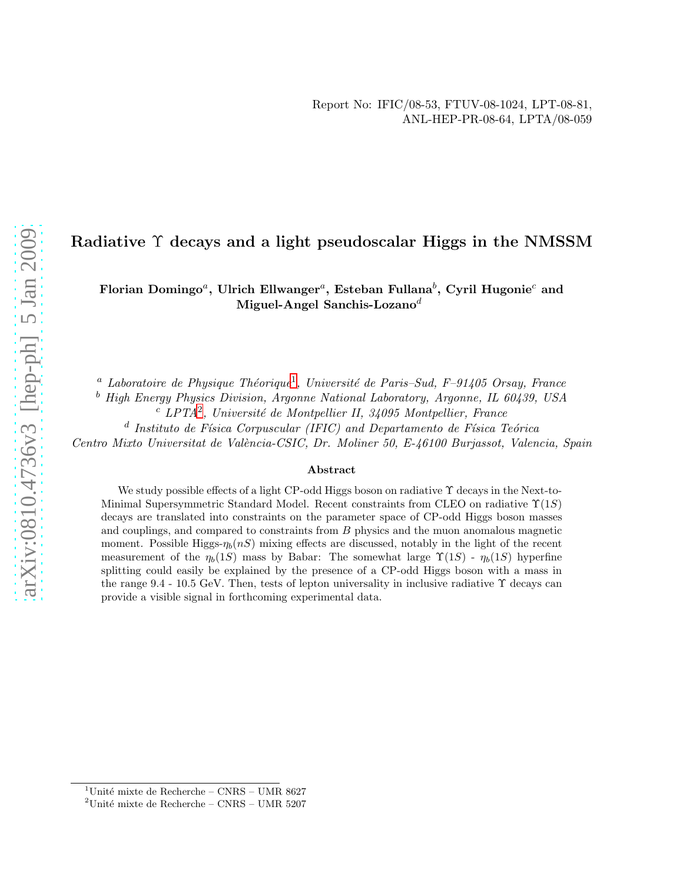## Radiative Υ decays and a light pseudoscalar Higgs in the NMSSM

Florian Domingo<sup>a</sup>, Ulrich Ellwanger<sup>a</sup>, Esteban Fullana<sup>b</sup>, Cyril Hugonie<sup>c</sup> and Miguel-Angel Sanchis-Lozano<sup>d</sup>

<sup>a</sup> Laboratoire de Physique Théorique<sup>[1](#page-0-0)</sup>, Université de Paris–Sud, F–91405 Orsay, France

<sup>b</sup> High Energy Physics Division, Argonne National Laboratory, Argonne, IL 60439, USA

 $c$  LPTA<sup>[2](#page-0-1)</sup>, Université de Montpellier II, 34095 Montpellier, France

<sup>d</sup> Instituto de Física Corpuscular (IFIC) and Departamento de Física Teórica

Centro Mixto Universitat de València-CSIC, Dr. Moliner 50, E-46100 Burjassot, Valencia, Spain

#### Abstract

We study possible effects of a light CP-odd Higgs boson on radiative  $\Upsilon$  decays in the Next-to-Minimal Supersymmetric Standard Model. Recent constraints from CLEO on radiative  $\Upsilon(1S)$ decays are translated into constraints on the parameter space of CP-odd Higgs boson masses and couplings, and compared to constraints from B physics and the muon anomalous magnetic moment. Possible Higgs- $\eta_b(nS)$  mixing effects are discussed, notably in the light of the recent measurement of the  $\eta_b(1S)$  mass by Babar: The somewhat large  $\Upsilon(1S)$  -  $\eta_b(1S)$  hyperfine splitting could easily be explained by the presence of a CP-odd Higgs boson with a mass in the range 9.4 - 10.5 GeV. Then, tests of lepton universality in inclusive radiative  $\Upsilon$  decays can provide a visible signal in forthcoming experimental data.

<sup>&</sup>lt;sup>1</sup>Unité mixte de Recherche – CNRS – UMR 8627

<span id="page-0-1"></span><span id="page-0-0"></span><sup>&</sup>lt;sup>2</sup>Unité mixte de Recherche – CNRS – UMR 5207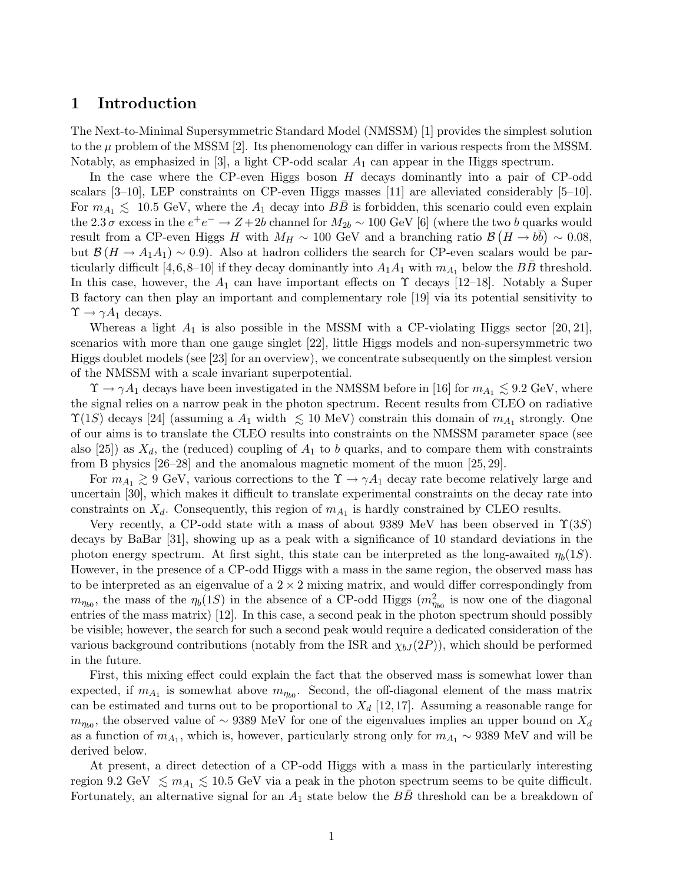### 1 Introduction

The Next-to-Minimal Supersymmetric Standard Model (NMSSM) [1] provides the simplest solution to the  $\mu$  problem of the MSSM [2]. Its phenomenology can differ in various respects from the MSSM. Notably, as emphasized in [3], a light CP-odd scalar  $A_1$  can appear in the Higgs spectrum.

In the case where the CP-even Higgs boson H decays dominantly into a pair of CP-odd scalars [3–10], LEP constraints on CP-even Higgs masses [11] are alleviated considerably [5–10]. For  $m_{A_1} \leq 10.5$  GeV, where the  $A_1$  decay into  $B\overline{B}$  is forbidden, this scenario could even explain the 2.3  $\sigma$  excess in the  $e^+e^- \to Z+2b$  channel for  $M_{2b} \sim 100$  GeV [6] (where the two b quarks would result from a CP-even Higgs H with  $M_H \sim 100 \text{ GeV}$  and a branching ratio  $\mathcal{B}(H \to b\bar{b}) \sim 0.08$ , but  $\mathcal{B}(H \to A_1A_1) \sim 0.9$ ). Also at hadron colliders the search for CP-even scalars would be particularly difficult [4,6,8–10] if they decay dominantly into  $A_1A_1$  with  $m_{A_1}$  below the BB threshold. In this case, however, the  $A_1$  can have important effects on  $\Upsilon$  decays [12–18]. Notably a Super B factory can then play an important and complementary role [19] via its potential sensitivity to  $\Upsilon \to \gamma A_1$  decays.

Whereas a light  $A_1$  is also possible in the MSSM with a CP-violating Higgs sector [20, 21], scenarios with more than one gauge singlet [22], little Higgs models and non-supersymmetric two Higgs doublet models (see [23] for an overview), we concentrate subsequently on the simplest version of the NMSSM with a scale invariant superpotential.

 $\Upsilon \to \gamma A_1$  decays have been investigated in the NMSSM before in [16] for  $m_{A_1} \lesssim 9.2$  GeV, where the signal relies on a narrow peak in the photon spectrum. Recent results from CLEO on radiative  $\Upsilon(1S)$  decays [24] (assuming a  $A_1$  width  $\lesssim 10 \text{ MeV}$ ) constrain this domain of  $m_{A_1}$  strongly. One of our aims is to translate the CLEO results into constraints on the NMSSM parameter space (see also [25]) as  $X_d$ , the (reduced) coupling of  $A_1$  to b quarks, and to compare them with constraints from B physics [26–28] and the anomalous magnetic moment of the muon [25, 29].

For  $m_{A_1} \geq 9$  GeV, various corrections to the  $\Upsilon \to \gamma A_1$  decay rate become relatively large and<br>catalog  $\sim 120$  which makes it difficult to translate experimental contraints on the decay note into uncertain [30], which makes it difficult to translate experimental constraints on the decay rate into constraints on  $X_d$ . Consequently, this region of  $m_{A_1}$  is hardly constrained by CLEO results.

Very recently, a CP-odd state with a mass of about 9389 MeV has been observed in  $\Upsilon(3S)$ decays by BaBar [31], showing up as a peak with a significance of 10 standard deviations in the photon energy spectrum. At first sight, this state can be interpreted as the long-awaited  $\eta_b(1S)$ . However, in the presence of a CP-odd Higgs with a mass in the same region, the observed mass has to be interpreted as an eigenvalue of a  $2 \times 2$  mixing matrix, and would differ correspondingly from  $m_{\eta_{b0}}$ , the mass of the  $\eta_b(1S)$  in the absence of a CP-odd Higgs  $(m_{\eta_{b0}}^2)$  is now one of the diagonal entries of the mass matrix) [12]. In this case, a second peak in the photon spectrum should possibly be visible; however, the search for such a second peak would require a dedicated consideration of the various background contributions (notably from the ISR and  $\chi_{bJ}(2P)$ ), which should be performed in the future.

First, this mixing effect could explain the fact that the observed mass is somewhat lower than expected, if  $m_{A_1}$  is somewhat above  $m_{\eta_{b0}}$ . Second, the off-diagonal element of the mass matrix can be estimated and turns out to be proportional to  $X_d$  [12,17]. Assuming a reasonable range for  $m_{\eta_{b0}}$ , the observed value of ~ 9389 MeV for one of the eigenvalues implies an upper bound on  $X_d$ as a function of  $m_{A_1}$ , which is, however, particularly strong only for  $m_{A_1} \sim 9389$  MeV and will be derived below.

At present, a direct detection of a CP-odd Higgs with a mass in the particularly interesting region 9.2 GeV  $\lesssim m_{A_1} \lesssim 10.5$  GeV via a peak in the photon spectrum seems to be quite difficult. Fortunately, an alternative signal for an  $A_1$  state below the  $BB$  threshold can be a breakdown of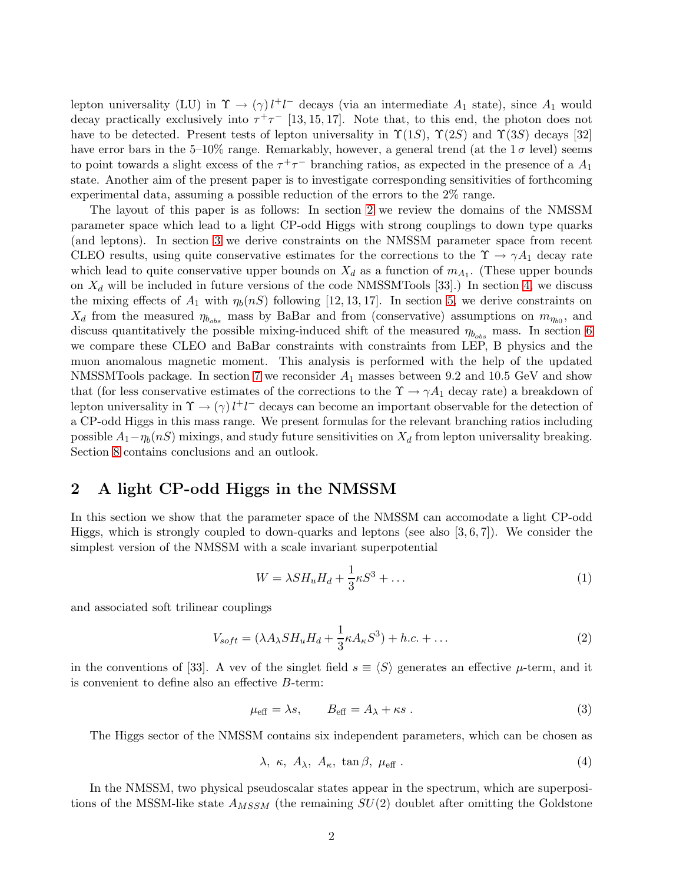lepton universality (LU) in  $\Upsilon \to (\gamma) l^+ l^-$  decays (via an intermediate  $A_1$  state), since  $A_1$  would decay practically exclusively into  $\tau^+\tau^-$  [13, 15, 17]. Note that, to this end, the photon does not have to be detected. Present tests of lepton universality in  $\Upsilon(1S)$ ,  $\Upsilon(2S)$  and  $\Upsilon(3S)$  decays [32] have error bars in the 5–10% range. Remarkably, however, a general trend (at the  $1\sigma$  level) seems to point towards a slight excess of the  $\tau^+\tau^-$  branching ratios, as expected in the presence of a  $A_1$ state. Another aim of the present paper is to investigate corresponding sensitivities of forthcoming experimental data, assuming a possible reduction of the errors to the 2% range.

The layout of this paper is as follows: In section [2](#page-2-0) we review the domains of the NMSSM parameter space which lead to a light CP-odd Higgs with strong couplings to down type quarks (and leptons). In section [3](#page-4-0) we derive constraints on the NMSSM parameter space from recent CLEO results, using quite conservative estimates for the corrections to the  $\Upsilon \to \gamma A_1$  decay rate which lead to quite conservative upper bounds on  $X_d$  as a function of  $m_{A_1}$ . (These upper bounds on  $X_d$  will be included in future versions of the code NMSSMTools [33].) In section [4,](#page-6-0) we discuss the mixing effects of  $A_1$  with  $\eta_b(nS)$  following [12, 13, 17]. In section [5,](#page-7-0) we derive constraints on  $X_d$  from the measured  $\eta_{b_{obs}}$  mass by BaBar and from (conservative) assumptions on  $m_{\eta_{b0}}$ , and discuss quantitatively the possible mixing-induced shift of the measured  $\eta_{b_{obs}}$  mass. In section [6](#page-9-0) we compare these CLEO and BaBar constraints with constraints from LEP, B physics and the muon anomalous magnetic moment. This analysis is performed with the help of the updated NMSSMTools package. In section [7](#page-11-0) we reconsider  $A_1$  masses between 9.2 and 10.5 GeV and show that (for less conservative estimates of the corrections to the  $\Upsilon \to \gamma A_1$  decay rate) a breakdown of lepton universality in  $\Upsilon \to (\gamma) l^+ l^-$  decays can become an important observable for the detection of a CP-odd Higgs in this mass range. We present formulas for the relevant branching ratios including possible  $A_1 - \eta_b(nS)$  mixings, and study future sensitivities on  $X_d$  from lepton universality breaking. Section [8](#page-16-0) contains conclusions and an outlook.

### <span id="page-2-0"></span>2 A light CP-odd Higgs in the NMSSM

In this section we show that the parameter space of the NMSSM can accomodate a light CP-odd Higgs, which is strongly coupled to down-quarks and leptons (see also [3, 6, 7]). We consider the simplest version of the NMSSM with a scale invariant superpotential

$$
W = \lambda S H_u H_d + \frac{1}{3} \kappa S^3 + \dots \tag{1}
$$

and associated soft trilinear couplings

$$
V_{soft} = (\lambda A_{\lambda} S H_u H_d + \frac{1}{3} \kappa A_{\kappa} S^3) + h.c. + \dots
$$
\n(2)

in the conventions of [33]. A vev of the singlet field  $s \equiv \langle S \rangle$  generates an effective  $\mu$ -term, and it is convenient to define also an effective B-term:

$$
\mu_{\text{eff}} = \lambda s, \qquad B_{\text{eff}} = A_{\lambda} + \kappa s \,. \tag{3}
$$

The Higgs sector of the NMSSM contains six independent parameters, which can be chosen as

<span id="page-2-1"></span>
$$
\lambda, \ \kappa, \ A_{\lambda}, \ A_{\kappa}, \ \tan \beta, \ \mu_{\text{eff}} \ . \tag{4}
$$

In the NMSSM, two physical pseudoscalar states appear in the spectrum, which are superpositions of the MSSM-like state  $A_{MSSM}$  (the remaining  $SU(2)$  doublet after omitting the Goldstone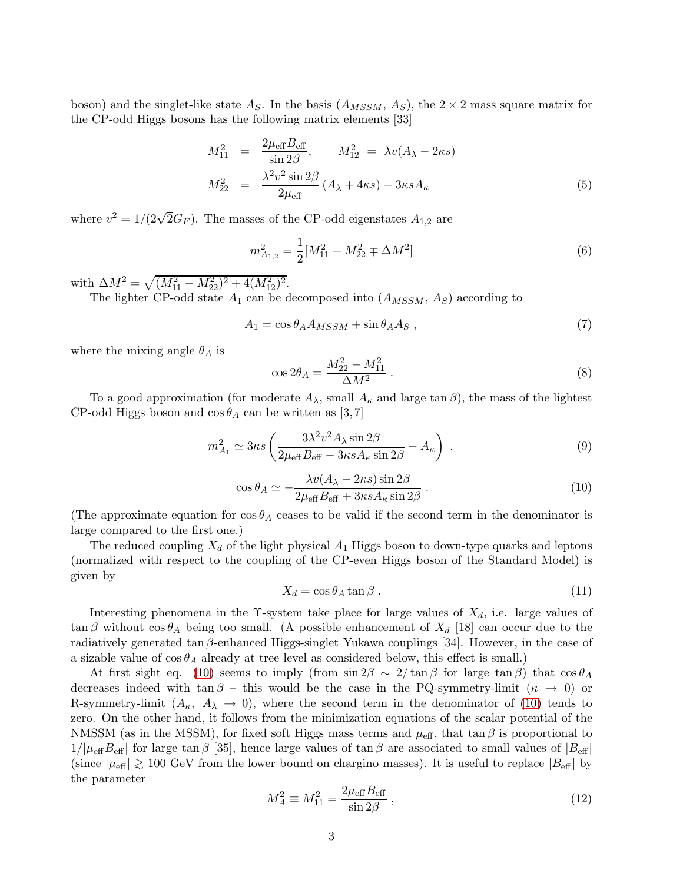boson) and the singlet-like state  $A_S$ . In the basis  $(A_{MSSM}, A_S)$ , the  $2 \times 2$  mass square matrix for the CP-odd Higgs bosons has the following matrix elements [33]

$$
M_{11}^2 = \frac{2\mu_{\text{eff}} B_{\text{eff}}}{\sin 2\beta}, \qquad M_{12}^2 = \lambda v (A_{\lambda} - 2\kappa s)
$$
  

$$
M_{22}^2 = \frac{\lambda^2 v^2 \sin 2\beta}{2\mu_{\text{eff}}} (A_{\lambda} + 4\kappa s) - 3\kappa s A_{\kappa}
$$
 (5)

where  $v^2 = 1/(2\sqrt{2}G_F)$ . The masses of the CP-odd eigenstates  $A_{1,2}$  are

$$
m_{A_{1,2}}^2 = \frac{1}{2} [M_{11}^2 + M_{22}^2 \mp \Delta M^2]
$$
 (6)

with  $\Delta M^2 = \sqrt{(M_{11}^2 - M_{22}^2)^2 + 4(M_{12}^2)^2}$ .

The lighter CP-odd state  $A_1$  can be decomposed into  $(A_{MSSM}, A_S)$  according to

$$
A_1 = \cos \theta_A A_{MSSM} + \sin \theta_A A_S , \qquad (7)
$$

where the mixing angle  $\theta_A$  is

$$
\cos 2\theta_A = \frac{M_{22}^2 - M_{11}^2}{\Delta M^2} \,. \tag{8}
$$

To a good approximation (for moderate  $A_{\lambda}$ , small  $A_{\kappa}$  and large tan  $\beta$ ), the mass of the lightest CP-odd Higgs boson and  $\cos \theta_A$  can be written as [3,7]

<span id="page-3-1"></span>
$$
m_{A_1}^2 \simeq 3\kappa s \left(\frac{3\lambda^2 v^2 A_\lambda \sin 2\beta}{2\mu_{\text{eff}} B_{\text{eff}} - 3\kappa s A_\kappa \sin 2\beta} - A_\kappa\right) ,\qquad (9)
$$

<span id="page-3-0"></span>
$$
\cos \theta_A \simeq -\frac{\lambda v (A_{\lambda} - 2\kappa s) \sin 2\beta}{2\mu_{\text{eff}} B_{\text{eff}} + 3\kappa s A_{\kappa} \sin 2\beta} \,. \tag{10}
$$

(The approximate equation for  $\cos \theta_A$  ceases to be valid if the second term in the denominator is large compared to the first one.)

The reduced coupling  $X_d$  of the light physical  $A_1$  Higgs boson to down-type quarks and leptons (normalized with respect to the coupling of the CP-even Higgs boson of the Standard Model) is given by

<span id="page-3-2"></span>
$$
X_d = \cos \theta_A \tan \beta \,. \tag{11}
$$

Interesting phenomena in the  $\Upsilon$ -system take place for large values of  $X_d$ , i.e. large values of  $\tan \beta$  without  $\cos \theta_A$  being too small. (A possible enhancement of  $X_d$  [18] can occur due to the radiatively generated tan  $\beta$ -enhanced Higgs-singlet Yukawa couplings [34]. However, in the case of a sizable value of  $\cos \theta_A$  already at tree level as considered below, this effect is small.)

At first sight eq. [\(10\)](#page-3-0) seems to imply (from sin  $2\beta \sim 2/\tan \beta$  for large  $\tan \beta$ ) that  $\cos \theta_A$ decreases indeed with  $\tan \beta$  – this would be the case in the PQ-symmetry-limit  $(\kappa \rightarrow 0)$  or R-symmetry-limit  $(A_{\kappa}, A_{\lambda} \to 0)$ , where the second term in the denominator of [\(10\)](#page-3-0) tends to zero. On the other hand, it follows from the minimization equations of the scalar potential of the NMSSM (as in the MSSM), for fixed soft Higgs mass terms and  $\mu_{\text{eff}}$ , that tan  $\beta$  is proportional to  $1/|\mu_{\text{eff}}B_{\text{eff}}|$  for large tan  $\beta$  [35], hence large values of tan  $\beta$  are associated to small values of  $|B_{\text{eff}}|$ (since  $|\mu_{\text{eff}}| \gtrsim 100 \text{ GeV}$  from the lower bound on chargino masses). It is useful to replace  $|B_{\text{eff}}|$  by the parameter

$$
M_A^2 \equiv M_{11}^2 = \frac{2\mu_{\text{eff}}B_{\text{eff}}}{\sin 2\beta} \,,\tag{12}
$$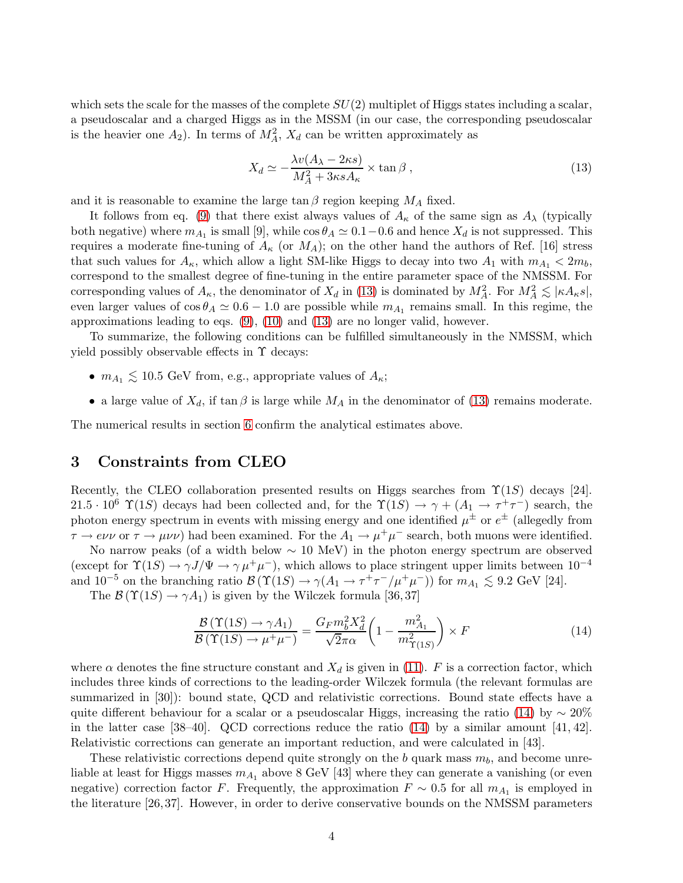which sets the scale for the masses of the complete  $SU(2)$  multiplet of Higgs states including a scalar, a pseudoscalar and a charged Higgs as in the MSSM (in our case, the corresponding pseudoscalar is the heavier one  $A_2$ ). In terms of  $M_A^2$ ,  $X_d$  can be written approximately as

<span id="page-4-1"></span>
$$
X_d \simeq -\frac{\lambda v (A_\lambda - 2\kappa s)}{M_A^2 + 3\kappa s A_\kappa} \times \tan \beta ,
$$
\n(13)

and it is reasonable to examine the large  $\tan \beta$  region keeping  $M_A$  fixed.

It follows from eq. [\(9\)](#page-3-1) that there exist always values of  $A_{\kappa}$  of the same sign as  $A_{\lambda}$  (typically both negative) where  $m_{A_1}$  is small [9], while  $\cos \theta_A \simeq 0.1-0.6$  and hence  $X_d$  is not suppressed. This requires a moderate fine-tuning of  $A_{\kappa}$  (or  $M_A$ ); on the other hand the authors of Ref. [16] stress that such values for  $A_{\kappa}$ , which allow a light SM-like Higgs to decay into two  $A_1$  with  $m_{A_1} < 2m_b$ , correspond to the smallest degree of fine-tuning in the entire parameter space of the NMSSM. For corresponding values of  $A_{\kappa}$ , the denominator of  $X_d$  in [\(13\)](#page-4-1) is dominated by  $M_A^2$ . For  $M_A^2 \lesssim |\kappa A_{\kappa} s|$ , even larger values of  $\cos \theta_A \simeq 0.6 - 1.0$  are possible while  $m_{A_1}$  remains small. In this regime, the approximations leading to eqs.  $(9)$ ,  $(10)$  and  $(13)$  are no longer valid, however.

To summarize, the following conditions can be fulfilled simultaneously in the NMSSM, which yield possibly observable effects in  $\Upsilon$  decays:

- $m_{A_1} \lesssim 10.5$  GeV from, e.g., appropriate values of  $A_{\kappa}$ ;
- a large value of  $X_d$ , if tan  $\beta$  is large while  $M_A$  in the denominator of [\(13\)](#page-4-1) remains moderate.

<span id="page-4-0"></span>The numerical results in section [6](#page-9-0) confirm the analytical estimates above.

### 3 Constraints from CLEO

Recently, the CLEO collaboration presented results on Higgs searches from  $\Upsilon(1S)$  decays [24]. 21.5 ·  $10^6$   $\Upsilon(1S)$  decays had been collected and, for the  $\Upsilon(1S) \rightarrow \gamma + (A_1 \rightarrow \tau^+ \tau^-)$  search, the photon energy spectrum in events with missing energy and one identified  $\mu^{\pm}$  or  $e^{\pm}$  (allegedly from  $\tau \to e\nu\nu$  or  $\tau \to \mu\nu\nu$ ) had been examined. For the  $A_1 \to \mu^+\mu^-$  search, both muons were identified.

No narrow peaks (of a width below  $\sim 10$  MeV) in the photon energy spectrum are observed (except for  $\Upsilon(1S) \to \gamma J/\Psi \to \gamma \mu^+ \mu^-$ ), which allows to place stringent upper limits between  $10^{-4}$ and  $10^{-5}$  on the branching ratio  $\mathcal{B}(\Upsilon(1S) \to \gamma(A_1 \to \tau^+\tau^-/\mu^+\mu^-))$  for  $m_{A_1} \lesssim 9.2$  GeV [24].

The  $\mathcal{B}(\Upsilon(1S) \to \gamma A_1)$  is given by the Wilczek formula [36,37]

<span id="page-4-2"></span>
$$
\frac{\mathcal{B}\left(\Upsilon(1S)\to\gamma A_1\right)}{\mathcal{B}\left(\Upsilon(1S)\to\mu^+\mu^-\right)} = \frac{G_F m_b^2 X_d^2}{\sqrt{2}\pi\alpha} \left(1 - \frac{m_{A_1}^2}{m_{\Upsilon(1S)}^2}\right) \times F
$$
\n(14)

where  $\alpha$  denotes the fine structure constant and  $X_d$  is given in [\(11\)](#page-3-2). F is a correction factor, which includes three kinds of corrections to the leading-order Wilczek formula (the relevant formulas are summarized in [30]): bound state, QCD and relativistic corrections. Bound state effects have a quite different behaviour for a scalar or a pseudoscalar Higgs, increasing the ratio [\(14\)](#page-4-2) by  $\sim 20\%$ in the latter case  $[38-40]$ . QCD corrections reduce the ratio  $(14)$  by a similar amount  $[41, 42]$ . Relativistic corrections can generate an important reduction, and were calculated in [43].

These relativistic corrections depend quite strongly on the b quark mass  $m_b$ , and become unreliable at least for Higgs masses  $m_{A_1}$  above 8 GeV [43] where they can generate a vanishing (or even negative) correction factor F. Frequently, the approximation  $F \sim 0.5$  for all  $m_{A_1}$  is employed in the literature [26, 37]. However, in order to derive conservative bounds on the NMSSM parameters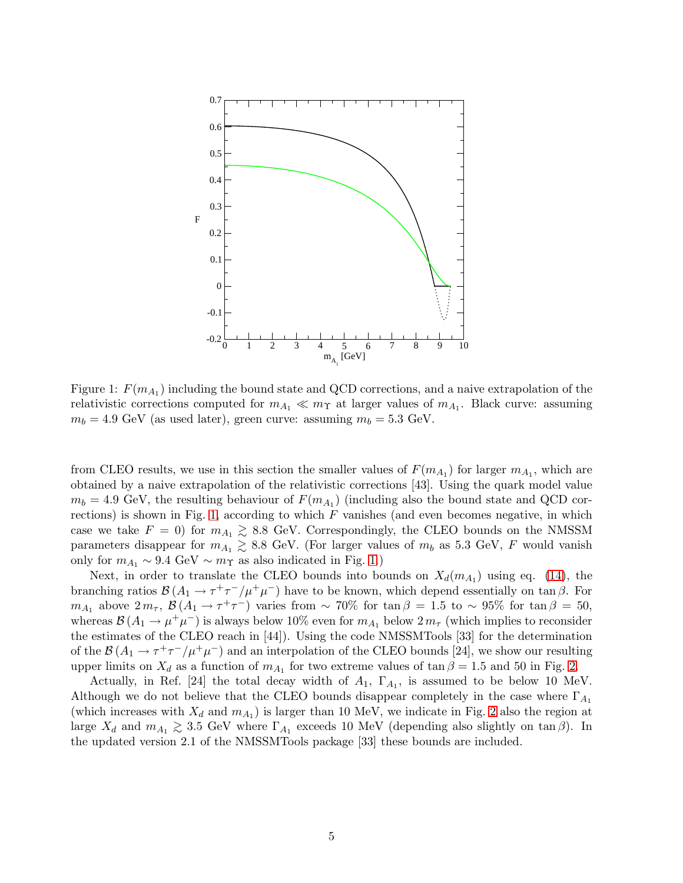

<span id="page-5-0"></span>Figure 1:  $F(m_{A_1})$  including the bound state and QCD corrections, and a naive extrapolation of the relativistic corrections computed for  $m_{A_1} \ll m_{\Upsilon}$  at larger values of  $m_{A_1}$ . Black curve: assuming  $m_b = 4.9 \text{ GeV}$  (as used later), green curve: assuming  $m_b = 5.3 \text{ GeV}$ .

from CLEO results, we use in this section the smaller values of  $F(m_{A_1})$  for larger  $m_{A_1}$ , which are obtained by a naive extrapolation of the relativistic corrections [43]. Using the quark model value  $m_b = 4.9 \text{ GeV},$  the resulting behaviour of  $F(m_{A_1})$  (including also the bound state and QCD cor-rections) is shown in Fig. [1,](#page-5-0) according to which  $F$  vanishes (and even becomes negative, in which case we take  $F = 0$ ) for  $m_{A_1} \ge 8.8$  GeV. Correspondingly, the CLEO bounds on the NMSSM parameters disappear for  $m_{A_1} \ge 8.8$  GeV. (For larger values of  $m_b$  as 5.3 GeV, F would vanish only for  $m_{A_1} \sim 9.4 \text{ GeV} \sim m_{\Upsilon}$  as also indicated in Fig. [1.](#page-5-0))

Next, in order to translate the CLEO bounds into bounds on  $X_d(m_{A_1})$  using eq. [\(14\)](#page-4-2), the branching ratios  $\mathcal{B}(A_1 \to \tau^+ \tau^- / \mu^+ \mu^-)$  have to be known, which depend essentially on tan  $\beta$ . For  $m_{A_1}$  above  $2 m_{\tau}$ ,  $\mathcal{B}(A_1 \to \tau^+ \tau^-)$  varies from ~ 70% for tan  $\beta = 1.5$  to ~ 95% for tan  $\beta = 50$ , whereas  $\mathcal{B}(A_1 \to \mu^+ \mu^-)$  is always below 10% even for  $m_{A_1}$  below  $2 m_\tau$  (which implies to reconsider the estimates of the CLEO reach in [44]). Using the code NMSSMTools [33] for the determination of the  $\mathcal{B}(A_1 \to \tau^+\tau^-/\mu^+\mu^-)$  and an interpolation of the CLEO bounds [24], we show our resulting upper limits on  $X_d$  as a function of  $m_{A_1}$  for two extreme values of  $\tan \beta = 1.5$  and 50 in Fig. [2.](#page-6-1)

Actually, in Ref. [24] the total decay width of  $A_1$ ,  $\Gamma_{A_1}$ , is assumed to be below 10 MeV. Although we do not believe that the CLEO bounds disappear completely in the case where  $\Gamma_{A_1}$ (which increases with  $X_d$  and  $m_{A_1}$ ) is larger than 10 MeV, we indicate in Fig. [2](#page-6-1) also the region at large  $X_d$  and  $m_{A_1} \gtrsim 3.5$  GeV where  $\Gamma_{A_1}$  exceeds 10 MeV (depending also slightly on tan  $\beta$ ). In the undeted version 2.1 of the NMSSMTools perhaps (22) these bounds are included the updated version 2.1 of the NMSSMTools package [33] these bounds are included.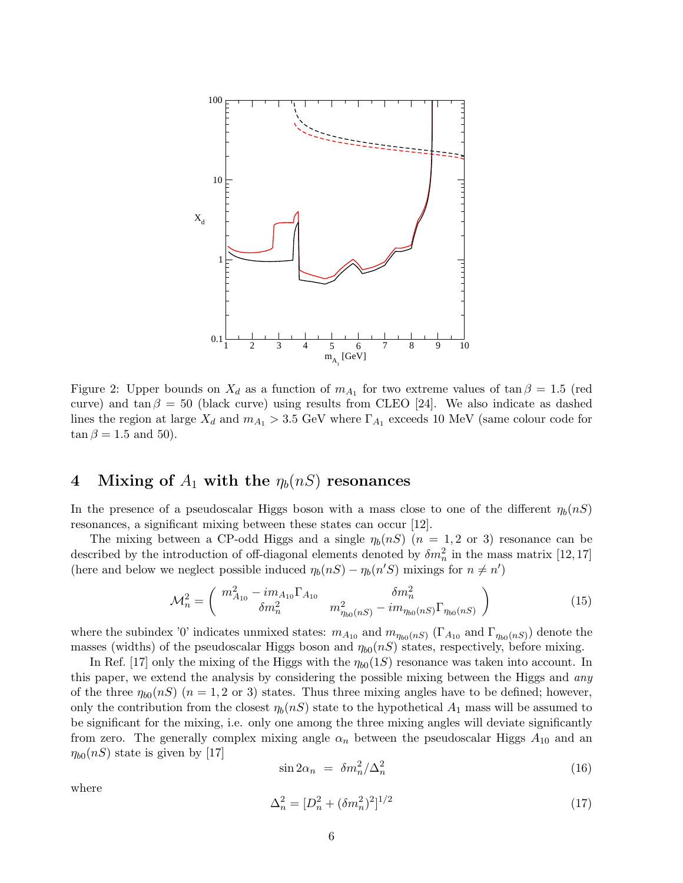

<span id="page-6-1"></span>Figure 2: Upper bounds on  $X_d$  as a function of  $m_{A_1}$  for two extreme values of  $\tan \beta = 1.5$  (red curve) and tan  $\beta = 50$  (black curve) using results from CLEO [24]. We also indicate as dashed lines the region at large  $X_d$  and  $m_{A_1} > 3.5$  GeV where  $\Gamma_{A_1}$  exceeds 10 MeV (same colour code for  $\tan \beta = 1.5$  and 50).

# <span id="page-6-0"></span>4 Mixing of  $A_1$  with the  $\eta_b(nS)$  resonances

In the presence of a pseudoscalar Higgs boson with a mass close to one of the different  $\eta_b(nS)$ resonances, a significant mixing between these states can occur [12].

The mixing between a CP-odd Higgs and a single  $\eta_b(nS)$  ( $n = 1, 2$  or 3) resonance can be described by the introduction of off-diagonal elements denoted by  $\delta m_n^2$  in the mass matrix [12,17] (here and below we neglect possible induced  $\eta_b(nS) - \eta_b(n'S)$  mixings for  $n \neq n'$ )

<span id="page-6-2"></span>
$$
\mathcal{M}_n^2 = \begin{pmatrix} m_{A_{10}}^2 - im_{A_{10}} \Gamma_{A_{10}} & \delta m_n^2 \\ \delta m_n^2 & m_{\eta_{b0}(nS)}^2 - im_{\eta_{b0}(nS)} \Gamma_{\eta_{b0}(nS)} \end{pmatrix}
$$
(15)

where the subindex '0' indicates unmixed states:  $m_{A_{10}}$  and  $m_{\eta_{b0}(nS)}$  ( $\Gamma_{A_{10}}$  and  $\Gamma_{\eta_{b0}(nS)}$ ) denote the masses (widths) of the pseudoscalar Higgs boson and  $\eta_{b0}(nS)$  states, respectively, before mixing.

In Ref. [17] only the mixing of the Higgs with the  $\eta_{b0}(1S)$  resonance was taken into account. In this paper, we extend the analysis by considering the possible mixing between the Higgs and *any* of the three  $\eta_{b0}(nS)$  ( $n=1,2$  or 3) states. Thus three mixing angles have to be defined; however, only the contribution from the closest  $\eta_b(nS)$  state to the hypothetical  $A_1$  mass will be assumed to be significant for the mixing, i.e. only one among the three mixing angles will deviate significantly from zero. The generally complex mixing angle  $\alpha_n$  between the pseudoscalar Higgs  $A_{10}$  and an  $\eta_{b0}(nS)$  state is given by [17]

$$
\sin 2\alpha_n = \delta m_n^2 / \Delta_n^2 \tag{16}
$$

where

$$
\Delta_n^2 = [D_n^2 + (\delta m_n^2)^2]^{1/2} \tag{17}
$$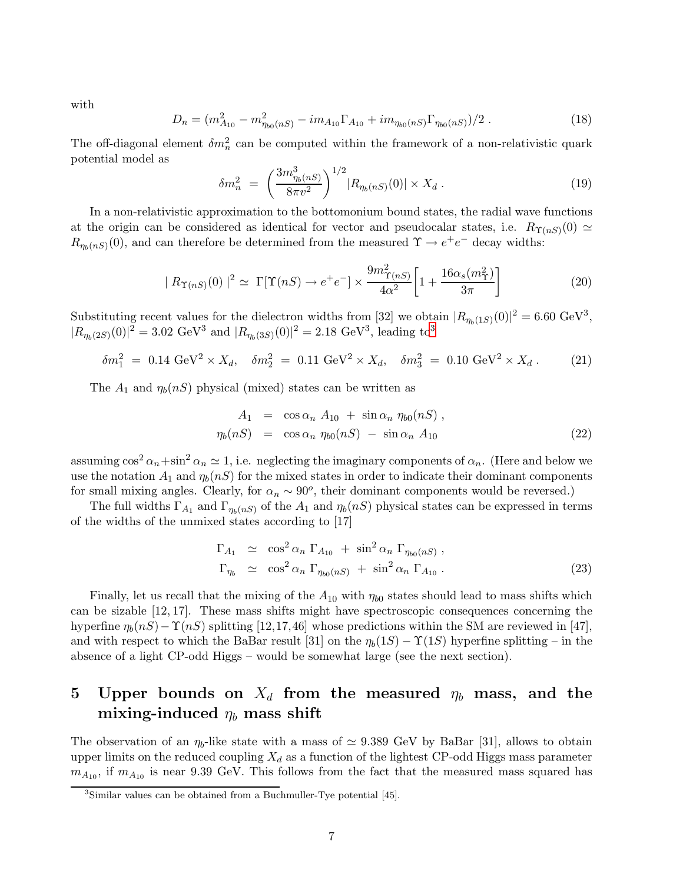with

$$
D_n = (m_{A_{10}}^2 - m_{\eta_{b0}(nS)}^2 - im_{A_{10}} \Gamma_{A_{10}} + im_{\eta_{b0}(nS)} \Gamma_{\eta_{b0}(nS)})/2.
$$
 (18)

The off-diagonal element  $\delta m_n^2$  can be computed within the framework of a non-relativistic quark potential model as

$$
\delta m_n^2 \ = \ \left(\frac{3m_{\eta_b(nS)}^3}{8\pi v^2}\right)^{1/2} |R_{\eta_b(nS)}(0)| \times X_d \ . \tag{19}
$$

In a non-relativistic approximation to the bottomonium bound states, the radial wave functions at the origin can be considered as identical for vector and pseudocalar states, i.e.  $R_{\Upsilon(nS)}(0) \simeq$  $R_{\eta_b(nS)}(0)$ , and can therefore be determined from the measured  $\Upsilon \to e^+e^-$  decay widths:

$$
|R_{\Upsilon(nS)}(0)|^2 \simeq \Gamma[\Upsilon(nS) \to e^+e^-] \times \frac{9m_{\Upsilon(nS)}^2}{4\alpha^2} \left[1 + \frac{16\alpha_s(m_\Upsilon^2)}{3\pi}\right]
$$
(20)

Substituting recent values for the dielectron widths from [32] we obtain  $|R_{\eta_b(1S)}(0)|^2 = 6.60 \text{ GeV}^3$ ,  $|R_{\eta_b(2S)}(0)|^2 = 3.02 \text{ GeV}^3 \text{ and } |R_{\eta_b(3S)}(0)|^2 = 2.18 \text{ GeV}^3, \text{ leading to}^3$  $|R_{\eta_b(2S)}(0)|^2 = 3.02 \text{ GeV}^3 \text{ and } |R_{\eta_b(3S)}(0)|^2 = 2.18 \text{ GeV}^3, \text{ leading to}^3$  $|R_{\eta_b(2S)}(0)|^2 = 3.02 \text{ GeV}^3 \text{ and } |R_{\eta_b(3S)}(0)|^2 = 2.18 \text{ GeV}^3, \text{ leading to}^3$ 

<span id="page-7-2"></span>
$$
\delta m_1^2 = 0.14 \text{ GeV}^2 \times X_d, \quad \delta m_2^2 = 0.11 \text{ GeV}^2 \times X_d, \quad \delta m_3^2 = 0.10 \text{ GeV}^2 \times X_d. \tag{21}
$$

The  $A_1$  and  $\eta_b(nS)$  physical (mixed) states can be written as

<span id="page-7-3"></span>
$$
A_1 = \cos \alpha_n A_{10} + \sin \alpha_n \eta_{b0}(nS),
$$
  
\n
$$
\eta_b(nS) = \cos \alpha_n \eta_{b0}(nS) - \sin \alpha_n A_{10}
$$
\n(22)

assuming  $\cos^2 \alpha_n + \sin^2 \alpha_n \simeq 1$ , i.e. neglecting the imaginary components of  $\alpha_n$ . (Here and below we use the notation  $A_1$  and  $\eta_b(nS)$  for the mixed states in order to indicate their dominant components for small mixing angles. Clearly, for  $\alpha_n \sim 90^\circ$ , their dominant components would be reversed.)

The full widths  $\Gamma_{A_1}$  and  $\Gamma_{\eta_b(nS)}$  of the  $A_1$  and  $\eta_b(nS)$  physical states can be expressed in terms of the widths of the unmixed states according to [17]

<span id="page-7-4"></span>
$$
\Gamma_{A_1} \simeq \cos^2 \alpha_n \Gamma_{A_{10}} + \sin^2 \alpha_n \Gamma_{\eta_{b0}(nS)},
$$
  
\n
$$
\Gamma_{\eta_b} \simeq \cos^2 \alpha_n \Gamma_{\eta_{b0}(nS)} + \sin^2 \alpha_n \Gamma_{A_{10}}.
$$
\n(23)

Finally, let us recall that the mixing of the  $A_{10}$  with  $\eta_{b0}$  states should lead to mass shifts which can be sizable [12, 17]. These mass shifts might have spectroscopic consequences concerning the hyperfine  $\eta_b(nS) - \Upsilon(nS)$  splitting [12,17,46] whose predictions within the SM are reviewed in [47], and with respect to which the BaBar result [31] on the  $\eta_b(1S) - \Upsilon(1S)$  hyperfine splitting – in the absence of a light CP-odd Higgs – would be somewhat large (see the next section).

# <span id="page-7-0"></span>5 Upper bounds on  $X_d$  from the measured  $\eta_b$  mass, and the mixing-induced  $\eta_b$  mass shift

The observation of an  $\eta_b$ -like state with a mass of  $\simeq$  9.389 GeV by BaBar [31], allows to obtain upper limits on the reduced coupling  $X_d$  as a function of the lightest CP-odd Higgs mass parameter  $m_{A_{10}}$ , if  $m_{A_{10}}$  is near 9.39 GeV. This follows from the fact that the measured mass squared has

<span id="page-7-1"></span><sup>&</sup>lt;sup>3</sup>Similar values can be obtained from a Buchmuller-Tye potential [45].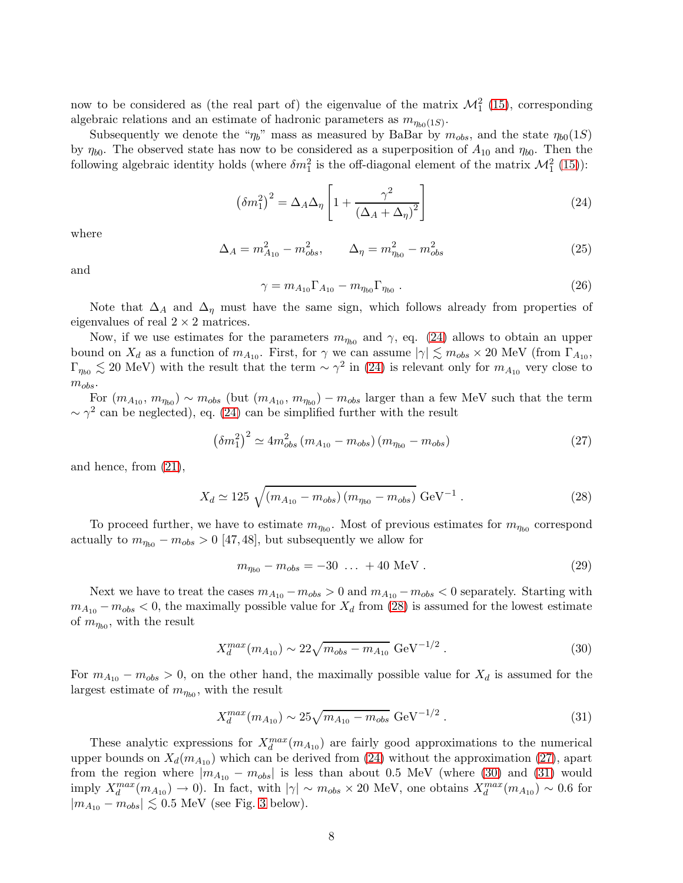now to be considered as (the real part of) the eigenvalue of the matrix  $\mathcal{M}_1^2$  [\(15\)](#page-6-2), corresponding algebraic relations and an estimate of hadronic parameters as  $m_{\eta_{b0}(1S)}$ .

Subsequently we denote the " $\eta_b$ " mass as measured by BaBar by  $m_{obs}$ , and the state  $\eta_{b0}(1S)$ by  $\eta_{b0}$ . The observed state has now to be considered as a superposition of  $A_{10}$  and  $\eta_{b0}$ . Then the following algebraic identity holds (where  $\delta m_1^2$  is the off-diagonal element of the matrix  $\mathcal{M}_1^2$  [\(15\)](#page-6-2)):

<span id="page-8-0"></span>
$$
\left(\delta m_1^2\right)^2 = \Delta_A \Delta_\eta \left[1 + \frac{\gamma^2}{\left(\Delta_A + \Delta_\eta\right)^2}\right] \tag{24}
$$

where

$$
\Delta_A = m_{A_{10}}^2 - m_{obs}^2, \qquad \Delta_\eta = m_{\eta_{b0}}^2 - m_{obs}^2 \tag{25}
$$

and

$$
\gamma = m_{A_{10}} \Gamma_{A_{10}} - m_{\eta_{b0}} \Gamma_{\eta_{b0}} . \tag{26}
$$

Note that  $\Delta_A$  and  $\Delta_\eta$  must have the same sign, which follows already from properties of eigenvalues of real  $2 \times 2$  matrices.

Now, if we use estimates for the parameters  $m_{\eta_{b0}}$  and  $\gamma$ , eq. [\(24\)](#page-8-0) allows to obtain an upper bound on  $X_d$  as a function of  $m_{A_{10}}$ . First, for  $\gamma$  we can assume  $|\gamma| \lesssim m_{obs} \times 20$  MeV (from  $\Gamma_{A_{10}}$ ,  $\Gamma_{\eta_{b0}} \lesssim 20$  MeV) with the result that the term  $\sim \gamma^2$  in [\(24\)](#page-8-0) is relevant only for  $m_{A_{10}}$  very close to  $m_{obs}$ .

For  $(m_{A_{10}}, m_{\eta_{b0}}) \sim m_{obs}$  (but  $(m_{A_{10}}, m_{\eta_{b0}}) - m_{obs}$  larger than a few MeV such that the term  $\sim \gamma^2$  can be neglected), eq. [\(24\)](#page-8-0) can be simplified further with the result

<span id="page-8-2"></span>
$$
\left(\delta m_1^2\right)^2 \simeq 4m_{obs}^2 \left(m_{A_{10}} - m_{obs}\right)\left(m_{\eta_{b0}} - m_{obs}\right) \tag{27}
$$

and hence, from [\(21\)](#page-7-2),

<span id="page-8-1"></span>
$$
X_d \simeq 125 \sqrt{(m_{A_{10}} - m_{obs}) (m_{\eta_{b0}} - m_{obs})} \text{ GeV}^{-1} . \qquad (28)
$$

To proceed further, we have to estimate  $m_{\eta_{b0}}$ . Most of previous estimates for  $m_{\eta_{b0}}$  correspond actually to  $m_{\eta_{b0}} - m_{obs} > 0$  [47, 48], but subsequently we allow for

<span id="page-8-5"></span>
$$
m_{\eta_{b0}} - m_{obs} = -30 \dots + 40 \text{ MeV}. \qquad (29)
$$

Next we have to treat the cases  $m_{A_{10}} - m_{obs} > 0$  and  $m_{A_{10}} - m_{obs} < 0$  separately. Starting with  $m_{A_{10}} - m_{obs} < 0$ , the maximally possible value for  $X_d$  from [\(28\)](#page-8-1) is assumed for the lowest estimate of  $m_{\eta_{b0}}$ , with the result

<span id="page-8-3"></span>
$$
X_d^{max}(m_{A_{10}}) \sim 22\sqrt{m_{obs} - m_{A_{10}}} \text{ GeV}^{-1/2} . \tag{30}
$$

For  $m_{A_{10}} - m_{obs} > 0$ , on the other hand, the maximally possible value for  $X_d$  is assumed for the largest estimate of  $m_{\eta_{b0}}$ , with the result

<span id="page-8-4"></span>
$$
X_d^{max}(m_{A_{10}}) \sim 25\sqrt{m_{A_{10}} - m_{obs}} \text{ GeV}^{-1/2} . \tag{31}
$$

These analytic expressions for  $X_d^{max}(m_{A_{10}})$  are fairly good approximations to the numerical upper bounds on  $X_d(m_{A_{10}})$  which can be derived from [\(24\)](#page-8-0) without the approximation [\(27\)](#page-8-2), apart from the region where  $|m_{A_{10}} - m_{obs}|$  is less than about 0.5 MeV (where [\(30\)](#page-8-3) and [\(31\)](#page-8-4) would imply  $X_d^{max}(m_{A_{10}}) \to 0$ ). In fact, with  $|\gamma| \sim m_{obs} \times 20$  MeV, one obtains  $X_d^{max}(m_{A_{10}}) \sim 0.6$  for  $|m_{A_{10}} - m_{obs}| \lesssim 0.5$  MeV (see Fig. [3](#page-10-0) below).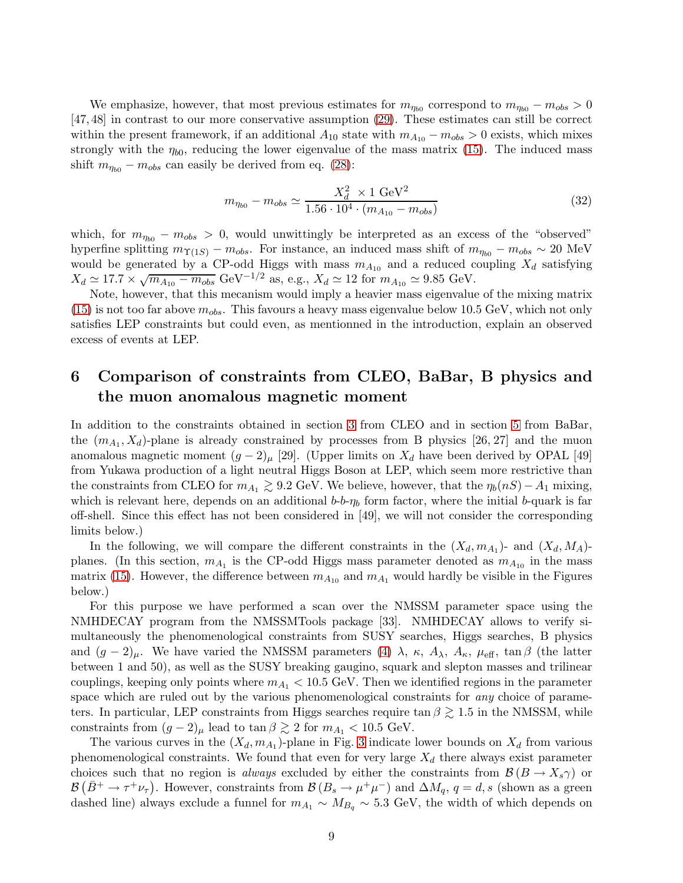We emphasize, however, that most previous estimates for  $m_{\eta_{b0}}$  correspond to  $m_{\eta_{b0}} - m_{obs} > 0$ [47, 48] in contrast to our more conservative assumption [\(29\)](#page-8-5). These estimates can still be correct within the present framework, if an additional  $A_{10}$  state with  $m_{A_{10}} - m_{obs} > 0$  exists, which mixes strongly with the  $\eta_{b0}$ , reducing the lower eigenvalue of the mass matrix [\(15\)](#page-6-2). The induced mass shift  $m_{\eta_{b0}} - m_{obs}$  can easily be derived from eq. [\(28\)](#page-8-1):

$$
m_{\eta_{b0}} - m_{obs} \simeq \frac{X_d^2 \times 1 \text{ GeV}^2}{1.56 \cdot 10^4 \cdot (m_{A_{10}} - m_{obs})}
$$
(32)

which, for  $m_{\eta_{b0}} - m_{obs} > 0$ , would unwittingly be interpreted as an excess of the "observed" hyperfine splitting  $m_{\Upsilon(1S)} - m_{obs}$ . For instance, an induced mass shift of  $m_{\eta_{b0}} - m_{obs} \sim 20$  MeV would be generated by a CP-odd Higgs with mass  $m_{A_{10}}$  and a reduced coupling  $X_d$  satisfying  $X_d \simeq 17.7 \times \sqrt{m_{A_{10}} - m_{obs}} \text{ GeV}^{-1/2} \text{ as, e.g., } X_d \simeq 12 \text{ for } m_{A_{10}} \simeq 9.85 \text{ GeV}.$ 

Note, however, that this mecanism would imply a heavier mass eigenvalue of the mixing matrix  $(15)$  is not too far above  $m_{obs}$ . This favours a heavy mass eigenvalue below 10.5 GeV, which not only satisfies LEP constraints but could even, as mentionned in the introduction, explain an observed excess of events at LEP.

# <span id="page-9-0"></span>6 Comparison of constraints from CLEO, BaBar, B physics and the muon anomalous magnetic moment

In addition to the constraints obtained in section [3](#page-4-0) from CLEO and in section [5](#page-7-0) from BaBar, the  $(m_{A_1}, X_d)$ -plane is already constrained by processes from B physics [26, 27] and the muon anomalous magnetic moment  $(g-2)_{\mu}$  [29]. (Upper limits on  $X_d$  have been derived by OPAL [49] from Yukawa production of a light neutral Higgs Boson at LEP, which seem more restrictive than the constraints from CLEO for  $m_{A_1} \geq 9.2$  GeV. We believe, however, that the  $\eta_b(nS) - A_1$  mixing, which is relevant here, depends on an additional  $b-b-\eta_b$  form factor, where the initial b-quark is far off-shell. Since this effect has not been considered in [49], we will not consider the corresponding limits below.)

In the following, we will compare the different constraints in the  $(X_d, m_{A_1})$ - and  $(X_d, M_A)$ planes. (In this section,  $m_{A_1}$  is the CP-odd Higgs mass parameter denoted as  $m_{A_{10}}$  in the mass matrix [\(15\)](#page-6-2). However, the difference between  $m_{A_{10}}$  and  $m_{A_1}$  would hardly be visible in the Figures below.)

For this purpose we have performed a scan over the NMSSM parameter space using the NMHDECAY program from the NMSSMTools package [33]. NMHDECAY allows to verify simultaneously the phenomenological constraints from SUSY searches, Higgs searches, B physics and  $(g-2)_\mu$ . We have varied the NMSSM parameters  $(4)$   $\lambda$ ,  $\kappa$ ,  $A_\lambda$ ,  $A_\kappa$ ,  $\mu_{\text{eff}}$ ,  $\tan \beta$  (the latter between 1 and 50), as well as the SUSY breaking gaugino, squark and slepton masses and trilinear couplings, keeping only points where  $m_{A_1}$  < 10.5 GeV. Then we identified regions in the parameter space which are ruled out by the various phenomenological constraints for *any* choice of parameters. In particular, LEP constraints from Higgs searches require tan  $\beta \gtrsim 1.5$  in the NMSSM, while constraints from  $(g - 2)_{\mu}$  lead to tan  $\beta \gtrsim 2$  for  $m_{A_1} < 10.5$  GeV.

The various curves in the  $(X_d, m_{A_1})$ -plane in Fig. [3](#page-10-0) indicate lower bounds on  $X_d$  from various phenomenological constraints. We found that even for very large  $X_d$  there always exist parameter choices such that no region is *always* excluded by either the constraints from  $\mathcal{B}(B \to X_s \gamma)$  or  $\mathcal{B}(\bar{B}^+\to \tau^+\nu_{\tau})$ . However, constraints from  $\mathcal{B}(B_s\to \mu^+\mu^-)$  and  $\Delta M_q$ ,  $q=d,s$  (shown as a green dashed line) always exclude a funnel for  $m_{A_1} \sim M_{B_q} \sim 5.3$  GeV, the width of which depends on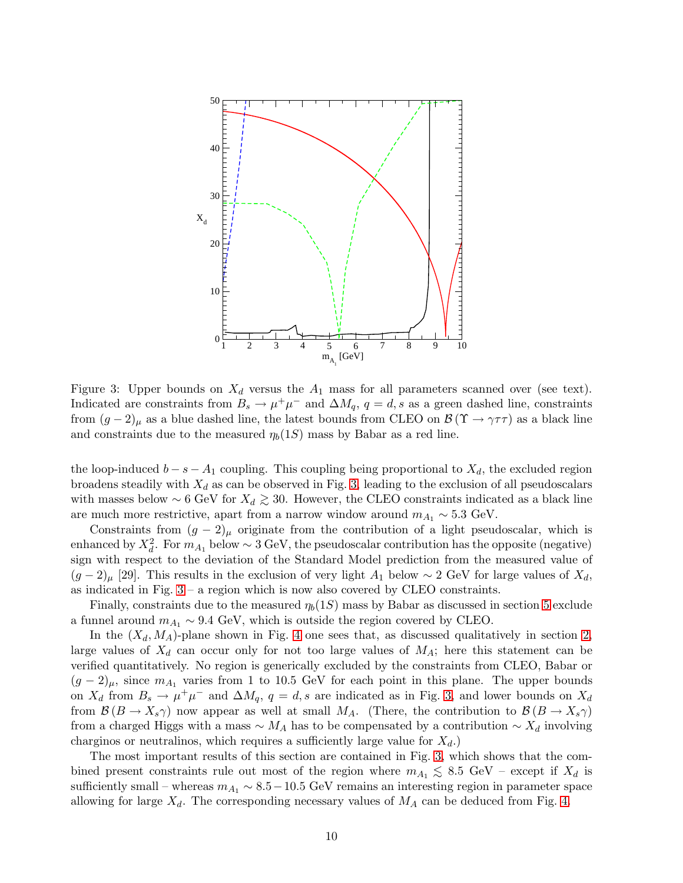

<span id="page-10-0"></span>Figure 3: Upper bounds on  $X_d$  versus the  $A_1$  mass for all parameters scanned over (see text). Indicated are constraints from  $B_s \to \mu^+\mu^-$  and  $\Delta M_q$ ,  $q = d$ , s as a green dashed line, constraints from  $(g-2)_{\mu}$  as a blue dashed line, the latest bounds from CLEO on  $\mathcal{B}(\Upsilon \to \gamma \tau \tau)$  as a black line and constraints due to the measured  $\eta_b(1S)$  mass by Babar as a red line.

the loop-induced  $b - s - A_1$  coupling. This coupling being proportional to  $X_d$ , the excluded region broadens steadily with  $X_d$  as can be observed in Fig. [3,](#page-10-0) leading to the exclusion of all pseudoscalars with masses below ~ 6 GeV for  $X_d \ge 30$ . However, the CLEO constraints indicated as a black line are much more restrictive, apart from a narrow window around  $m_{A_1} \sim 5.3$  GeV.

Constraints from  $(g - 2)_{\mu}$  originate from the contribution of a light pseudoscalar, which is enhanced by  $X_d^2$ . For  $m_{A_1}$  below ~ 3 GeV, the pseudoscalar contribution has the opposite (negative) sign with respect to the deviation of the Standard Model prediction from the measured value of  $(g-2)_\mu$  [29]. This results in the exclusion of very light  $A_1$  below ∼ 2 GeV for large values of  $X_d$ , as indicated in Fig.  $3 - a$  region which is now also covered by CLEO constraints.

Finally, constraints due to the measured  $\eta_b(1S)$  mass by Babar as discussed in section [5](#page-7-0) exclude a funnel around  $m_{A_1} \sim 9.4$  GeV, which is outside the region covered by CLEO.

In the  $(X_d, M_A)$ -plane shown in Fig. [4](#page-11-1) one sees that, as discussed qualitatively in section [2,](#page-2-0) large values of  $X_d$  can occur only for not too large values of  $M_A$ ; here this statement can be verified quantitatively. No region is generically excluded by the constraints from CLEO, Babar or  $(g-2)_\mu$ , since  $m_{A_1}$  varies from 1 to 10.5 GeV for each point in this plane. The upper bounds on  $X_d$  from  $B_s \to \mu^+\mu^-$  and  $\Delta M_q$ ,  $q = d$ , s are indicated as in Fig. [3,](#page-10-0) and lower bounds on  $X_d$ from  $\mathcal{B}(B \to X_s \gamma)$  now appear as well at small  $M_A$ . (There, the contribution to  $\mathcal{B}(B \to X_s \gamma)$ from a charged Higgs with a mass  $\sim M_A$  has to be compensated by a contribution  $\sim X_d$  involving charginos or neutralinos, which requires a sufficiently large value for  $X_d$ .)

The most important results of this section are contained in Fig. [3,](#page-10-0) which shows that the combined present constraints rule out most of the region where  $m_{A_1} \leq 8.5$  GeV – except if  $X_d$  is<br>cufficiently grad, whereas  $m_{A_1} \leq 8.5$  GeV remains an interacting region in perspector appear sufficiently small – whereas  $m_{A_1} \sim 8.5 - 10.5$  GeV remains an interesting region in parameter space allowing for large  $X_d$ . The corresponding necessary values of  $M_A$  can be deduced from Fig. [4.](#page-11-1)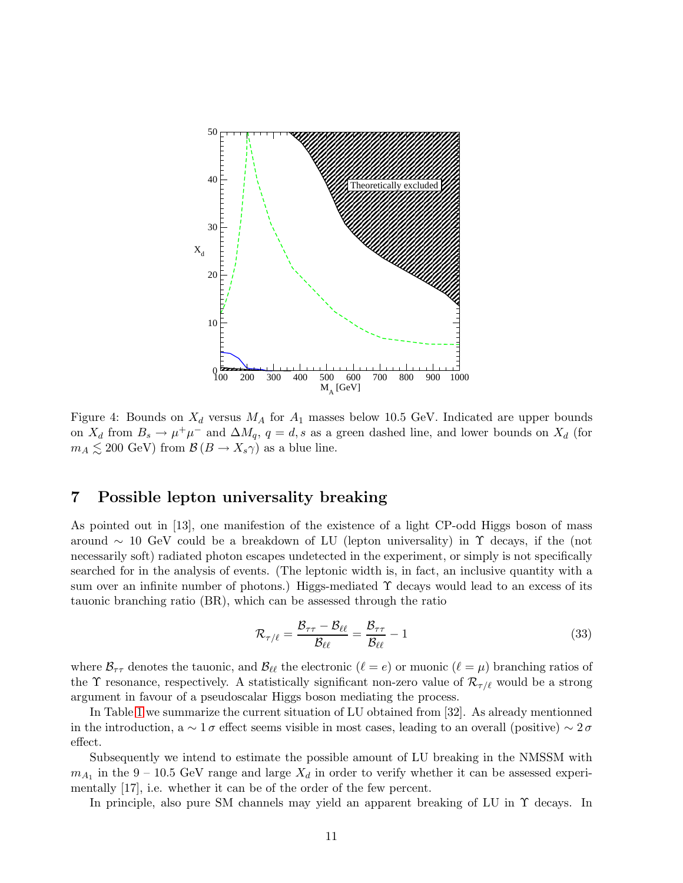

<span id="page-11-1"></span>Figure 4: Bounds on  $X_d$  versus  $M_A$  for  $A_1$  masses below 10.5 GeV. Indicated are upper bounds on  $X_d$  from  $B_s \to \mu^+\mu^-$  and  $\Delta M_q$ ,  $q = d$ , s as a green dashed line, and lower bounds on  $X_d$  (for  $m_A \lesssim 200 \text{ GeV}$  from  $\mathcal{B}(B \to X_s \gamma)$  as a blue line.

#### <span id="page-11-0"></span>7 Possible lepton universality breaking

As pointed out in [13], one manifestion of the existence of a light CP-odd Higgs boson of mass around  $\sim$  10 GeV could be a breakdown of LU (lepton universality) in  $\Upsilon$  decays, if the (not necessarily soft) radiated photon escapes undetected in the experiment, or simply is not specifically searched for in the analysis of events. (The leptonic width is, in fact, an inclusive quantity with a sum over an infinite number of photons.) Higgs-mediated Υ decays would lead to an excess of its tauonic branching ratio (BR), which can be assessed through the ratio

$$
\mathcal{R}_{\tau/\ell} = \frac{\mathcal{B}_{\tau\tau} - \mathcal{B}_{\ell\ell}}{\mathcal{B}_{\ell\ell}} = \frac{\mathcal{B}_{\tau\tau}}{\mathcal{B}_{\ell\ell}} - 1
$$
\n(33)

where  $\mathcal{B}_{\tau\tau}$  denotes the tauonic, and  $\mathcal{B}_{\ell\ell}$  the electronic  $(\ell = e)$  or muonic  $(\ell = \mu)$  branching ratios of the  $\Upsilon$  resonance, respectively. A statistically significant non-zero value of  $\mathcal{R}_{\tau/\ell}$  would be a strong argument in favour of a pseudoscalar Higgs boson mediating the process.

In Table [1](#page-12-0) we summarize the current situation of LU obtained from [32]. As already mentionned in the introduction, a  $\sim 1\sigma$  effect seems visible in most cases, leading to an overall (positive)  $\sim 2\sigma$ effect.

Subsequently we intend to estimate the possible amount of LU breaking in the NMSSM with  $m_{A_1}$  in the 9 – 10.5 GeV range and large  $X_d$  in order to verify whether it can be assessed experimentally [17], i.e. whether it can be of the order of the few percent.

In principle, also pure SM channels may yield an apparent breaking of LU in  $\Upsilon$  decays. In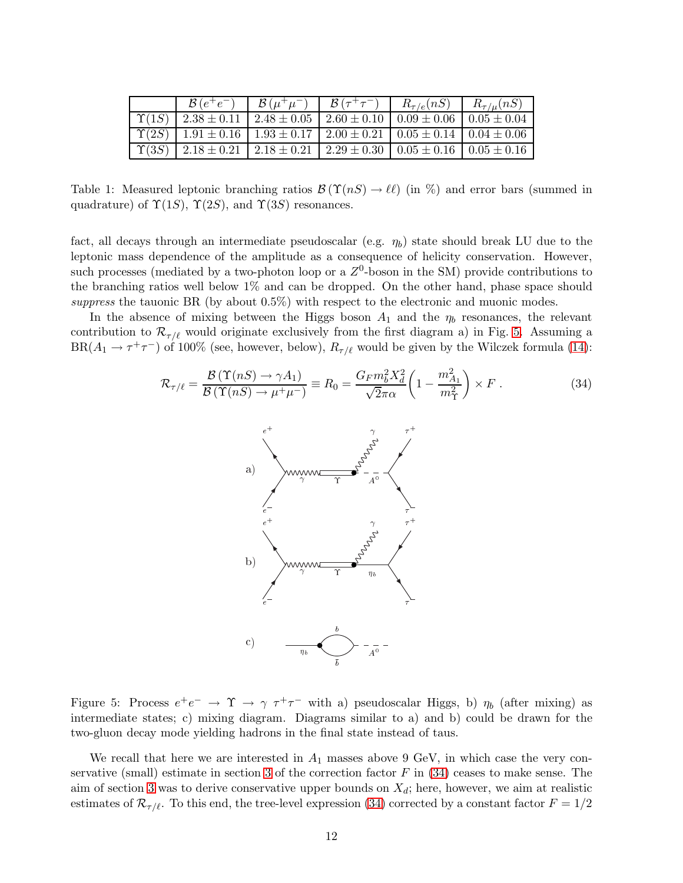| $\mathcal{B}(e^+e^-)$ | $\mathcal{B}(\mu^+\mu^-)$                                                                                | $\mathcal{B}\left(\tau^{+}\tau^{-}\right)$ | $R_{\tau/e}(nS)$ | $R_{\tau/\mu}(nS)$ |
|-----------------------|----------------------------------------------------------------------------------------------------------|--------------------------------------------|------------------|--------------------|
|                       | $\Upsilon(1S)$   2.38 $\pm$ 0.11   2.48 $\pm$ 0.05   2.60 $\pm$ 0.10   0.09 $\pm$ 0.06   0.05 $\pm$ 0.04 |                                            |                  |                    |
|                       | $\Upsilon(2S)$   1.91 $\pm$ 0.16   1.93 $\pm$ 0.17   2.00 $\pm$ 0.21   0.05 $\pm$ 0.14   0.04 $\pm$ 0.06 |                                            |                  |                    |
|                       | $\Upsilon(3S)$   2.18 $\pm$ 0.21   2.18 $\pm$ 0.21   2.29 $\pm$ 0.30   0.05 $\pm$ 0.16   0.05 $\pm$ 0.16 |                                            |                  |                    |

<span id="page-12-0"></span>Table 1: Measured leptonic branching ratios  $\mathcal{B}(\Upsilon(nS) \to \ell\ell)$  (in  $\%)$ ) and error bars (summed in quadrature) of  $\Upsilon(1S)$ ,  $\Upsilon(2S)$ , and  $\Upsilon(3S)$  resonances.

fact, all decays through an intermediate pseudoscalar (e.g.  $\eta_b$ ) state should break LU due to the leptonic mass dependence of the amplitude as a consequence of helicity conservation. However, such processes (mediated by a two-photon loop or a  $Z^0$ -boson in the SM) provide contributions to the branching ratios well below 1% and can be dropped. On the other hand, phase space should suppress the tauonic BR (by about  $0.5\%$ ) with respect to the electronic and muonic modes.

In the absence of mixing between the Higgs boson  $A_1$  and the  $\eta_b$  resonances, the relevant contribution to  $\mathcal{R}_{\tau/\ell}$  would originate exclusively from the first diagram a) in Fig. [5.](#page-12-1) Assuming a  $BR(A_1 \to \tau^+\tau^-)$  of 100% (see, however, below),  $R_{\tau/\ell}$  would be given by the Wilczek formula [\(14\)](#page-4-2):

<span id="page-12-2"></span>
$$
\mathcal{R}_{\tau/\ell} = \frac{\mathcal{B}\left(\Upsilon(nS) \to \gamma A_1\right)}{\mathcal{B}\left(\Upsilon(nS) \to \mu^+\mu^-\right)} \equiv R_0 = \frac{G_F m_b^2 X_d^2}{\sqrt{2}\pi\alpha} \left(1 - \frac{m_{A_1}^2}{m_\Upsilon^2}\right) \times F \,. \tag{34}
$$



<span id="page-12-1"></span>Figure 5: Process  $e^+e^- \to \Upsilon \to \gamma \tau^+\tau^-$  with a) pseudoscalar Higgs, b)  $\eta_b$  (after mixing) as intermediate states; c) mixing diagram. Diagrams similar to a) and b) could be drawn for the two-gluon decay mode yielding hadrons in the final state instead of taus.

We recall that here we are interested in  $A_1$  masses above 9 GeV, in which case the very con-servative (small) estimate in section [3](#page-4-0) of the correction factor  $F$  in [\(34\)](#page-12-2) ceases to make sense. The aim of section [3](#page-4-0) was to derive conservative upper bounds on  $X_d$ ; here, however, we aim at realistic estimates of  $\mathcal{R}_{\tau/\ell}$ . To this end, the tree-level expression [\(34\)](#page-12-2) corrected by a constant factor  $F = 1/2$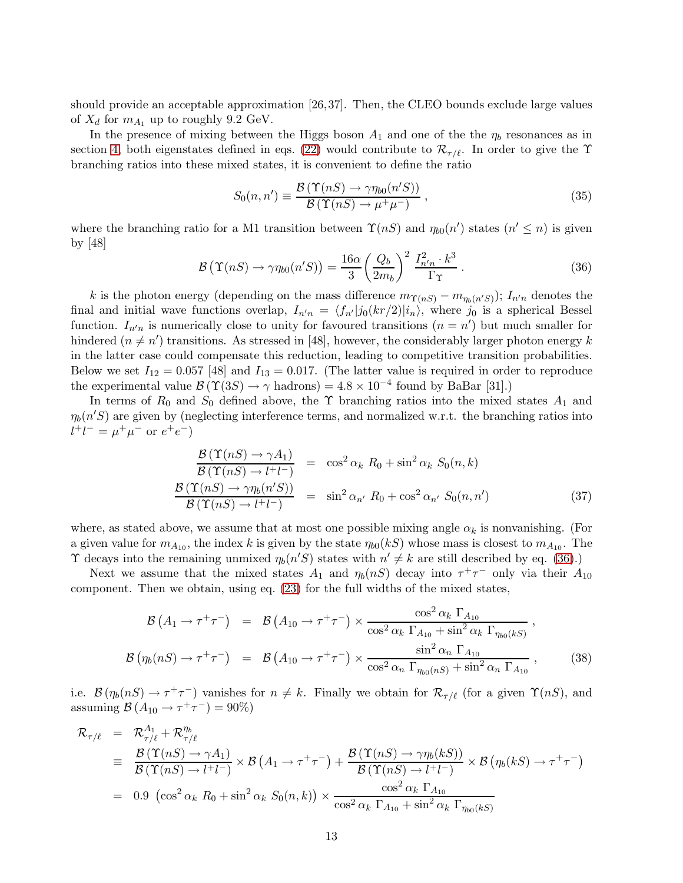should provide an acceptable approximation [26,37]. Then, the CLEO bounds exclude large values of  $X_d$  for  $m_{A_1}$  up to roughly 9.2 GeV.

In the presence of mixing between the Higgs boson  $A_1$  and one of the the  $\eta_b$  resonances as in section [4,](#page-6-0) both eigenstates defined in eqs. [\(22\)](#page-7-3) would contribute to  $\mathcal{R}_{\tau/\ell}$ . In order to give the T branching ratios into these mixed states, it is convenient to define the ratio

$$
S_0(n, n') \equiv \frac{\mathcal{B}\left(\Upsilon(nS) \to \gamma \eta_{b0}(n'S)\right)}{\mathcal{B}\left(\Upsilon(nS) \to \mu^+ \mu^- \right)}\,,\tag{35}
$$

where the branching ratio for a M1 transition between  $\Upsilon(nS)$  and  $\eta_{b0}(n')$  states  $(n' \leq n)$  is given by [48]

<span id="page-13-0"></span>
$$
\mathcal{B}\left(\Upsilon(nS)\to\gamma\eta_{b0}(n'S)\right) = \frac{16\alpha}{3} \left(\frac{Q_b}{2m_b}\right)^2 \frac{I_{n'n}^2 \cdot k^3}{\Gamma_\Upsilon} \,. \tag{36}
$$

k is the photon energy (depending on the mass difference  $m_{\Upsilon(nS)} - m_{\eta_b(n'S)}$ );  $I_{n'n}$  denotes the final and initial wave functions overlap,  $I_{n'n} = \langle f_{n'}|j_0(kr/2)|i_n\rangle$ , where  $j_0$  is a spherical Bessel function.  $I_{n'n}$  is numerically close to unity for favoured transitions  $(n = n')$  but much smaller for hindered  $(n \neq n')$  transitions. As stressed in [48], however, the considerably larger photon energy k in the latter case could compensate this reduction, leading to competitive transition probabilities. Below we set  $I_{12} = 0.057$  [48] and  $I_{13} = 0.017$ . (The latter value is required in order to reproduce the experimental value  $\mathcal{B}(\Upsilon(3S) \to \gamma \text{ hadrons}) = 4.8 \times 10^{-4}$  found by BaBar [31].)

In terms of  $R_0$  and  $S_0$  defined above, the  $\Upsilon$  branching ratios into the mixed states  $A_1$  and  $\eta_b(n'S)$  are given by (neglecting interference terms, and normalized w.r.t. the branching ratios into  $l^{+}l^{-} = \mu^{+}\mu^{-}$  or  $e^{+}e^{-}$ )

$$
\frac{\mathcal{B}(\Upsilon(nS) \to \gamma A_1)}{\mathcal{B}(\Upsilon(nS) \to l^+l^-)} = \cos^2 \alpha_k R_0 + \sin^2 \alpha_k S_0(n,k)
$$
  

$$
\frac{\mathcal{B}(\Upsilon(nS) \to \gamma \eta_b(n'S))}{\mathcal{B}(\Upsilon(nS) \to l^+l^-)} = \sin^2 \alpha_{n'} R_0 + \cos^2 \alpha_{n'} S_0(n,n')
$$
(37)

where, as stated above, we assume that at most one possible mixing angle  $\alpha_k$  is nonvanishing. (For a given value for  $m_{A_{10}}$ , the index k is given by the state  $\eta_{b0}(kS)$  whose mass is closest to  $m_{A_{10}}$ . The  $\Upsilon$  decays into the remaining unmixed  $\eta_b(n'S)$  states with  $n' \neq k$  are still described by eq. [\(36\)](#page-13-0).)

Next we assume that the mixed states  $A_1$  and  $\eta_b(nS)$  decay into  $\tau^+\tau^-$  only via their  $A_{10}$ component. Then we obtain, using eq. [\(23\)](#page-7-4) for the full widths of the mixed states,

<span id="page-13-1"></span>
$$
\mathcal{B}\left(A_{1}\to\tau^{+}\tau^{-}\right) = \mathcal{B}\left(A_{10}\to\tau^{+}\tau^{-}\right) \times \frac{\cos^{2}\alpha_{k}\Gamma_{A_{10}}}{\cos^{2}\alpha_{k}\Gamma_{A_{10}}+\sin^{2}\alpha_{k}\Gamma_{\eta_{b0}(kS)}},
$$
\n
$$
\mathcal{B}\left(\eta_{b}(nS)\to\tau^{+}\tau^{-}\right) = \mathcal{B}\left(A_{10}\to\tau^{+}\tau^{-}\right) \times \frac{\sin^{2}\alpha_{n}\Gamma_{A_{10}}}{\cos^{2}\alpha_{n}\Gamma_{\eta_{b0}(nS)}+\sin^{2}\alpha_{n}\Gamma_{A_{10}}},
$$
\n(38)

i.e.  $\mathcal{B}(\eta_b(nS) \to \tau^+\tau^-)$  vanishes for  $n \neq k$ . Finally we obtain for  $\mathcal{R}_{\tau/\ell}$  (for a given  $\Upsilon(nS)$ , and assuming  $\mathcal{B}(A_{10} \to \tau^+ \tau^-) = 90\%)$ 

<span id="page-13-2"></span>
$$
\mathcal{R}_{\tau/\ell} = \mathcal{R}_{\tau/\ell}^{A_1} + \mathcal{R}_{\tau/\ell}^{\eta_b}
$$
\n
$$
\equiv \frac{\mathcal{B}(\Upsilon(nS) \to \gamma A_1)}{\mathcal{B}(\Upsilon(nS) \to l^+l^-)} \times \mathcal{B}(A_1 \to \tau^+\tau^-) + \frac{\mathcal{B}(\Upsilon(nS) \to \gamma \eta_b(kS))}{\mathcal{B}(\Upsilon(nS) \to l^+l^-)} \times \mathcal{B}(\eta_b(kS) \to \tau^+\tau^-)
$$
\n
$$
= 0.9 \left(\cos^2 \alpha_k R_0 + \sin^2 \alpha_k S_0(n,k)\right) \times \frac{\cos^2 \alpha_k \Gamma_{A_{10}}}{\cos^2 \alpha_k \Gamma_{A_{10}} + \sin^2 \alpha_k \Gamma_{\eta_{b0}(kS)}}
$$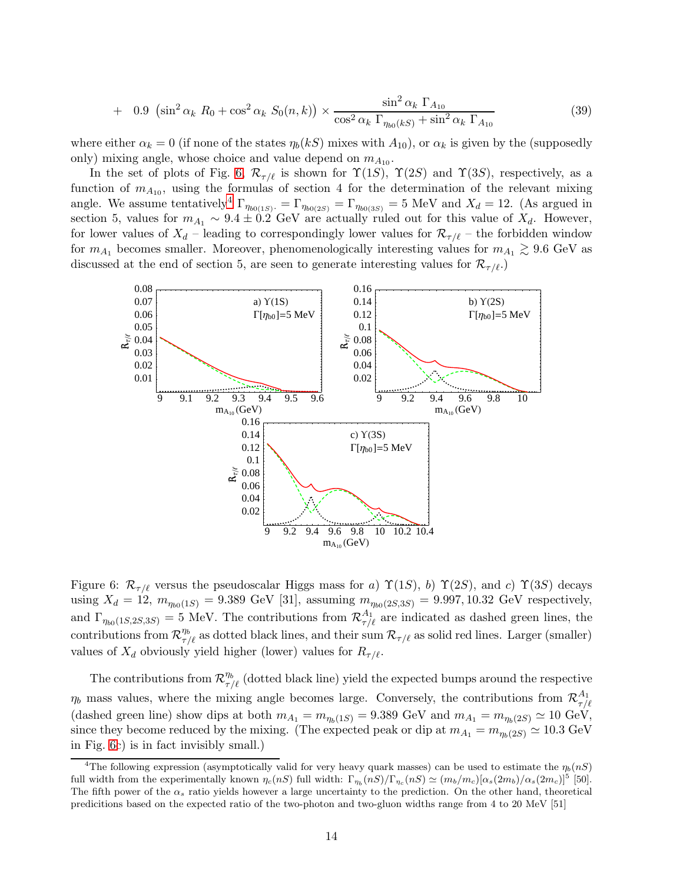+ 0.9 
$$
(\sin^2 \alpha_k R_0 + \cos^2 \alpha_k S_0(n, k)) \times \frac{\sin^2 \alpha_k \Gamma_{A_{10}}}{\cos^2 \alpha_k \Gamma_{\eta_{b0}(kS)} + \sin^2 \alpha_k \Gamma_{A_{10}}}
$$
 (39)

where either  $\alpha_k = 0$  (if none of the states  $\eta_b(kS)$  mixes with  $A_{10}$ ), or  $\alpha_k$  is given by the (supposedly only) mixing angle, whose choice and value depend on  $m_{A_{10}}$ .

In the set of plots of Fig. [6,](#page-14-0)  $\mathcal{R}_{\tau/\ell}$  is shown for  $\Upsilon(1S)$ ,  $\Upsilon(2S)$  and  $\Upsilon(3S)$ , respectively, as a function of  $m_{A_{10}}$ , using the formulas of section 4 for the determination of the relevant mixing angle. We assume tentatively<sup>[4](#page-14-1)</sup>  $\Gamma_{\eta_{b0(1S)}^+} = \Gamma_{\eta_{b0(2S)}} = \Gamma_{\eta_{b0(3S)}} = 5$  MeV and  $X_d = 12$ . (As argued in section 5, values for  $m_{A_1} \sim 9.4 \pm 0.2$  GeV are actually ruled out for this value of  $X_d$ . However, for lower values of  $X_d$  – leading to correspondingly lower values for  $\mathcal{R}_{\tau/\ell}$  – the forbidden window for  $m_{A_1}$  becomes smaller. Moreover, phenomenologically interesting values for  $m_{A_1} \geq 9.6$  GeV as discussed at the end of section 5, are seen to generate interesting values for  $\mathcal{R}_{\tau/\ell}$ .



<span id="page-14-0"></span>Figure 6:  $\mathcal{R}_{\tau/\ell}$  versus the pseudoscalar Higgs mass for a)  $\Upsilon(1S)$ , b)  $\Upsilon(2S)$ , and c)  $\Upsilon(3S)$  decays using  $X_d = 12$ ,  $m_{\eta_{b0}(1S)} = 9.389 \text{ GeV}$  [31], assuming  $m_{\eta_{b0}(2S,3S)} = 9.997, 10.32 \text{ GeV}$  respectively, and  $\Gamma_{\eta_{b0}(1S,2S,3S)}=5$  MeV. The contributions from  $\mathcal{R}^{A_1}_{\tau/\ell}$  are indicated as dashed green lines, the contributions from  $\mathcal{R}_{\tau/\ell}^{\eta_b}$  as dotted black lines, and their sum  $\mathcal{R}_{\tau/\ell}$  as solid red lines. Larger (smaller) values of  $X_d$  obviously yield higher (lower) values for  $R_{\tau/\ell}$ .

The contributions from  $\mathcal{R}_{\tau/\ell}^{\eta_b}$  (dotted black line) yield the expected bumps around the respective  $\eta_b$  mass values, where the mixing angle becomes large. Conversely, the contributions from  $\mathcal{R}^{A_1}_{\tau/b}$  $\tau/\ell$ (dashed green line) show dips at both  $m_{A_1} = m_{\eta_b(1S)} = 9.389$  GeV and  $m_{A_1} = m_{\eta_b(2S)} \simeq 10$  GeV, since they become reduced by the mixing. (The expected peak or dip at  $m_{A_1} = m_{m(2S)} \simeq 10.3$  GeV in Fig. [6c](#page-14-0)) is in fact invisibly small.)

<span id="page-14-1"></span><sup>&</sup>lt;sup>4</sup>The following expression (asymptotically valid for very heavy quark masses) can be used to estimate the  $\eta_b(nS)$ full width from the experimentally known  $\eta_c(nS)$  full width:  $\Gamma_{\eta_b}(nS)/\Gamma_{\eta_c}(nS) \simeq (m_b/m_c)[\alpha_s(2m_b)/\alpha_s(2m_c)]^5$  [50]. The fifth power of the  $\alpha_s$  ratio yields however a large uncertainty to the prediction. On the other hand, theoretical predicitions based on the expected ratio of the two-photon and two-gluon widths range from 4 to 20 MeV [51]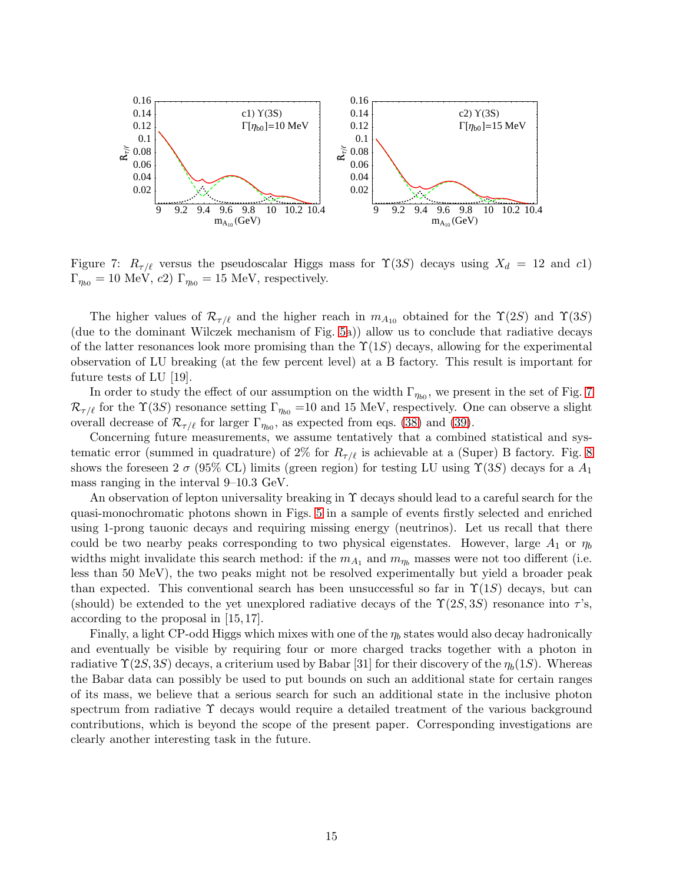

<span id="page-15-0"></span>Figure 7:  $R_{\tau/\ell}$  versus the pseudoscalar Higgs mass for  $\Upsilon(3S)$  decays using  $X_d = 12$  and c1)  $\Gamma_{\eta_{b0}} = 10$  MeV,  $c2$ )  $\Gamma_{\eta_{b0}} = 15$  MeV, respectively.

The higher values of  $\mathcal{R}_{\tau/\ell}$  and the higher reach in  $m_{A_{10}}$  obtained for the  $\Upsilon(2S)$  and  $\Upsilon(3S)$ (due to the dominant Wilczek mechanism of Fig. [5a](#page-12-1))) allow us to conclude that radiative decays of the latter resonances look more promising than the  $\Upsilon(1S)$  decays, allowing for the experimental observation of LU breaking (at the few percent level) at a B factory. This result is important for future tests of LU [19].

In order to study the effect of our assumption on the width  $\Gamma_{\eta_{b0}}$ , we present in the set of Fig. [7](#page-15-0)  $\mathcal{R}_{\tau/\ell}$  for the  $\Upsilon(3S)$  resonance setting  $\Gamma_{\eta_{b0}} = 10$  and 15 MeV, respectively. One can observe a slight overall decrease of  $\mathcal{R}_{\tau/\ell}$  for larger  $\Gamma_{\eta_{b0}}$ , as expected from eqs. [\(38\)](#page-13-1) and [\(39\)](#page-13-2).

Concerning future measurements, we assume tentatively that a combined statistical and systematic error (summed in quadrature) of 2% for  $R_{\tau/\ell}$  is achievable at a (Super) B factory. Fig. [8](#page-16-1) shows the foreseen 2  $\sigma$  (95% CL) limits (green region) for testing LU using  $\Upsilon(3S)$  decays for a  $A_1$ mass ranging in the interval 9–10.3 GeV.

An observation of lepton universality breaking in  $\Upsilon$  decays should lead to a careful search for the quasi-monochromatic photons shown in Figs. [5](#page-12-1) in a sample of events firstly selected and enriched using 1-prong tauonic decays and requiring missing energy (neutrinos). Let us recall that there could be two nearby peaks corresponding to two physical eigenstates. However, large  $A_1$  or  $\eta_b$ widths might invalidate this search method: if the  $m_{A_1}$  and  $m_{\eta_b}$  masses were not too different (i.e. less than 50 MeV), the two peaks might not be resolved experimentally but yield a broader peak than expected. This conventional search has been unsuccessful so far in  $\Upsilon(1S)$  decays, but can (should) be extended to the yet unexplored radiative decays of the  $\Upsilon(2S, 3S)$  resonance into  $\tau$ 's, according to the proposal in [15, 17].

Finally, a light CP-odd Higgs which mixes with one of the  $\eta_b$  states would also decay hadronically and eventually be visible by requiring four or more charged tracks together with a photon in radiative  $\Upsilon(2S, 3S)$  decays, a criterium used by Babar [31] for their discovery of the  $\eta_b(1S)$ . Whereas the Babar data can possibly be used to put bounds on such an additional state for certain ranges of its mass, we believe that a serious search for such an additional state in the inclusive photon spectrum from radiative  $\Upsilon$  decays would require a detailed treatment of the various background contributions, which is beyond the scope of the present paper. Corresponding investigations are clearly another interesting task in the future.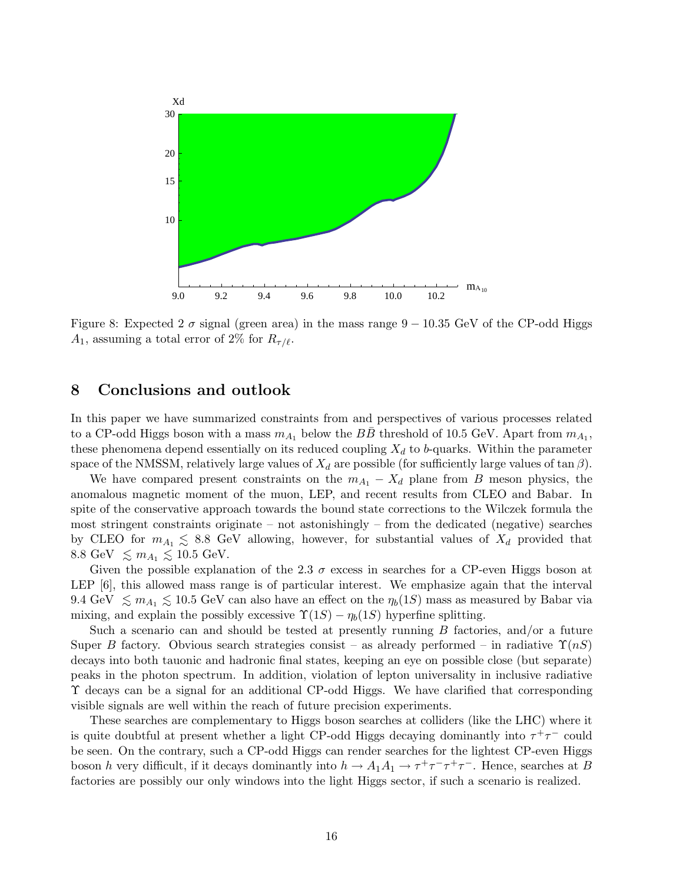

<span id="page-16-1"></span>Figure 8: Expected 2  $\sigma$  signal (green area) in the mass range 9 – 10.35 GeV of the CP-odd Higgs  $A_1$ , assuming a total error of 2% for  $R_{\tau/\ell}$ .

#### <span id="page-16-0"></span>8 Conclusions and outlook

In this paper we have summarized constraints from and perspectives of various processes related to a CP-odd Higgs boson with a mass  $m_{A_1}$  below the  $B\bar{B}$  threshold of 10.5 GeV. Apart from  $m_{A_1}$ , these phenomena depend essentially on its reduced coupling  $X_d$  to b-quarks. Within the parameter space of the NMSSM, relatively large values of  $X_d$  are possible (for sufficiently large values of  $\tan \beta$ ).

We have compared present constraints on the  $m_{A_1} - X_d$  plane from B meson physics, the anomalous magnetic moment of the muon, LEP, and recent results from CLEO and Babar. In spite of the conservative approach towards the bound state corrections to the Wilczek formula the most stringent constraints originate – not astonishingly – from the dedicated (negative) searches by CLEO for  $m_{A_1} \leq 8.8$  GeV allowing, however, for substantial values of  $X_d$  provided that 8.8 GeV  $\leq m_{A_1} \leq 10.5$  GeV.

Given the possible explanation of the 2.3  $\sigma$  excess in searches for a CP-even Higgs boson at LEP [6], this allowed mass range is of particular interest. We emphasize again that the interval 9.4 GeV  $\leq m_{A_1} \leq 10.5$  GeV can also have an effect on the  $\eta_b(1S)$  mass as measured by Babar via<br>minimum and supplying the negative measure  $\Upsilon(1S)$  and  $(1S)$  hyperfine splitting mixing, and explain the possibly excessive  $\Upsilon(1S) - \eta_b(1S)$  hyperfine splitting.

Such a scenario can and should be tested at presently running  $B$  factories, and/or a future Super B factory. Obvious search strategies consist – as already performed – in radiative  $\Upsilon(nS)$ decays into both tauonic and hadronic final states, keeping an eye on possible close (but separate) peaks in the photon spectrum. In addition, violation of lepton universality in inclusive radiative Υ decays can be a signal for an additional CP-odd Higgs. We have clarified that corresponding visible signals are well within the reach of future precision experiments.

These searches are complementary to Higgs boson searches at colliders (like the LHC) where it is quite doubtful at present whether a light CP-odd Higgs decaying dominantly into  $\tau^+\tau^-$  could be seen. On the contrary, such a CP-odd Higgs can render searches for the lightest CP-even Higgs boson h very difficult, if it decays dominantly into  $h \to A_1 A_1 \to \tau^+ \tau^- \tau^+ \tau^-$ . Hence, searches at B factories are possibly our only windows into the light Higgs sector, if such a scenario is realized.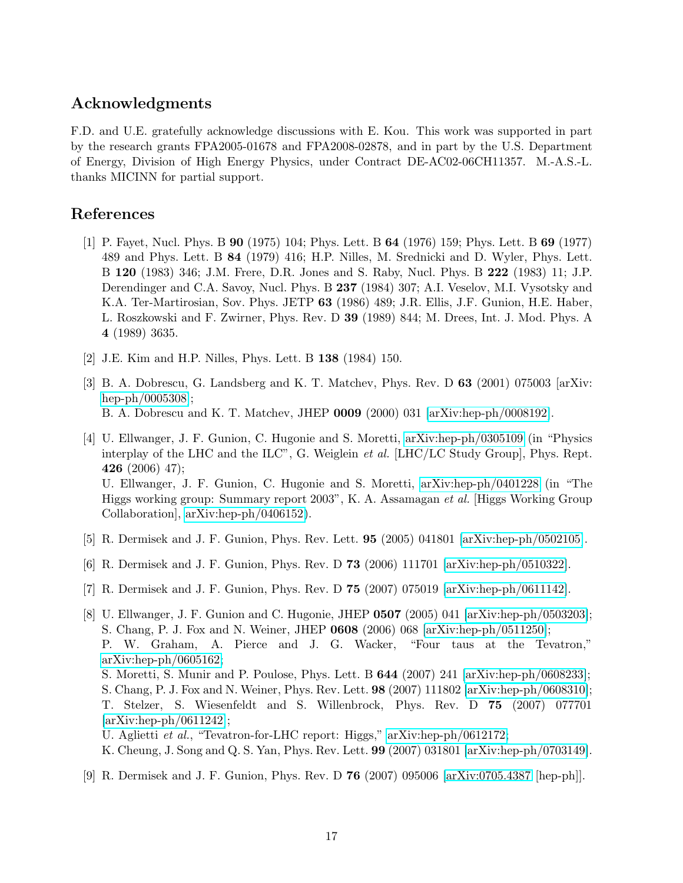### Acknowledgments

F.D. and U.E. gratefully acknowledge discussions with E. Kou. This work was supported in part by the research grants FPA2005-01678 and FPA2008-02878, and in part by the U.S. Department of Energy, Division of High Energy Physics, under Contract DE-AC02-06CH11357. M.-A.S.-L. thanks MICINN for partial support.

### References

- [1] P. Fayet, Nucl. Phys. B 90 (1975) 104; Phys. Lett. B 64 (1976) 159; Phys. Lett. B 69 (1977) 489 and Phys. Lett. B 84 (1979) 416; H.P. Nilles, M. Srednicki and D. Wyler, Phys. Lett. B 120 (1983) 346; J.M. Frere, D.R. Jones and S. Raby, Nucl. Phys. B 222 (1983) 11; J.P. Derendinger and C.A. Savoy, Nucl. Phys. B 237 (1984) 307; A.I. Veselov, M.I. Vysotsky and K.A. Ter-Martirosian, Sov. Phys. JETP 63 (1986) 489; J.R. Ellis, J.F. Gunion, H.E. Haber, L. Roszkowski and F. Zwirner, Phys. Rev. D 39 (1989) 844; M. Drees, Int. J. Mod. Phys. A 4 (1989) 3635.
- [2] J.E. Kim and H.P. Nilles, Phys. Lett. B 138 (1984) 150.
- [3] B. A. Dobrescu, G. Landsberg and K. T. Matchev, Phys. Rev. D 63 (2001) 075003 [arXiv: [hep-ph/0005308\]](http://arXiv.org/abs/hep-ph/0005308); B. A. Dobrescu and K. T. Matchev, JHEP 0009 (2000) 031 [\[arXiv:hep-ph/0008192\]](http://arXiv.org/abs/hep-ph/0008192).
- [4] U. Ellwanger, J. F. Gunion, C. Hugonie and S. Moretti, [arXiv:hep-ph/0305109](http://arXiv.org/abs/hep-ph/0305109) (in "Physics interplay of the LHC and the ILC", G. Weiglein *et al.* [LHC/LC Study Group], Phys. Rept. **426** (2006) 47); U. Ellwanger, J. F. Gunion, C. Hugonie and S. Moretti, [arXiv:hep-ph/0401228](http://arXiv.org/abs/hep-ph/0401228) (in "The Higgs working group: Summary report 2003", K. A. Assamagan et al. [Higgs Working Group Collaboration], [arXiv:hep-ph/0406152\)](http://arXiv.org/abs/hep-ph/0406152).
- [5] R. Dermisek and J. F. Gunion, Phys. Rev. Lett. **95** (2005) 041801 [\[arXiv:hep-ph/0502105\]](http://arXiv.org/abs/hep-ph/0502105).
- [6] R. Dermisek and J. F. Gunion, Phys. Rev. D 73 (2006) 111701 [\[arXiv:hep-ph/0510322\]](http://arXiv.org/abs/hep-ph/0510322).
- [7] R. Dermisek and J. F. Gunion, Phys. Rev. D 75 (2007) 075019 [\[arXiv:hep-ph/0611142\]](http://arXiv.org/abs/hep-ph/0611142).
- [8] U. Ellwanger, J. F. Gunion and C. Hugonie, JHEP 0507 (2005) 041 [\[arXiv:hep-ph/0503203\]](http://arXiv.org/abs/hep-ph/0503203); S. Chang, P. J. Fox and N. Weiner, JHEP 0608 (2006) 068 [\[arXiv:hep-ph/0511250\]](http://arXiv.org/abs/hep-ph/0511250); P. W. Graham, A. Pierce and J. G. Wacker, "Four taus at the Tevatron,"  $arXiv:hep-ph/0605162;$ S. Moretti, S. Munir and P. Poulose, Phys. Lett. B 644 (2007) 241 [\[arXiv:hep-ph/0608233\]](http://arXiv.org/abs/hep-ph/0608233); S. Chang, P. J. Fox and N. Weiner, Phys. Rev. Lett. 98 (2007) 111802 [\[arXiv:hep-ph/0608310\]](http://arXiv.org/abs/hep-ph/0608310); T. Stelzer, S. Wiesenfeldt and S. Willenbrock, Phys. Rev. D 75 (2007) 077701  $\arXiv:hep-ph/0611242$ ]; U. Aglietti et al., "Tevatron-for-LHC report: Higgs," [arXiv:hep-ph/0612172;](http://arXiv.org/abs/hep-ph/0612172) K. Cheung, J. Song and Q. S. Yan, Phys. Rev. Lett. 99 (2007) 031801 [\[arXiv:hep-ph/0703149\]](http://arXiv.org/abs/hep-ph/0703149).
- [9] R. Dermisek and J. F. Gunion, Phys. Rev. D 76 (2007) 095006 [\[arXiv:0705.4387](http://arXiv.org/abs/0705.4387) [hep-ph]].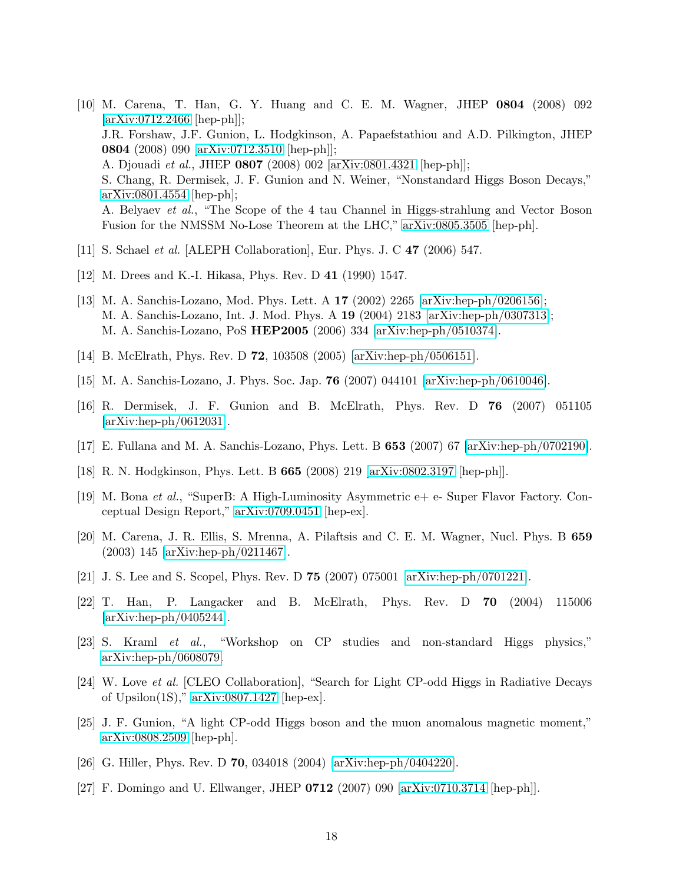- [10] M. Carena, T. Han, G. Y. Huang and C. E. M. Wagner, JHEP 0804 (2008) 092 [\[arXiv:0712.2466](http://arXiv.org/abs/0712.2466) [hep-ph]]; J.R. Forshaw, J.F. Gunion, L. Hodgkinson, A. Papaefstathiou and A.D. Pilkington, JHEP 0804 (2008) 090 [\[arXiv:0712.3510](http://arXiv.org/abs/0712.3510) [hep-ph]]; A. Djouadi et al., JHEP 0807 (2008) 002 [\[arXiv:0801.4321](http://arXiv.org/abs/0801.4321) [hep-ph]]; S. Chang, R. Dermisek, J. F. Gunion and N. Weiner, "Nonstandard Higgs Boson Decays," [arXiv:0801.4554](http://arXiv.org/abs/0801.4554) [hep-ph]; A. Belyaev et al., "The Scope of the 4 tau Channel in Higgs-strahlung and Vector Boson Fusion for the NMSSM No-Lose Theorem at the LHC," [arXiv:0805.3505](http://arXiv.org/abs/0805.3505) [hep-ph].
- [11] S. Schael *et al.* [ALEPH Collaboration], Eur. Phys. J. C **47** (2006) 547.
- [12] M. Drees and K.-I. Hikasa, Phys. Rev. D 41 (1990) 1547.
- [13] M. A. Sanchis-Lozano, Mod. Phys. Lett. A 17 (2002) 2265 [\[arXiv:hep-ph/0206156\]](http://arXiv.org/abs/hep-ph/0206156); M. A. Sanchis-Lozano, Int. J. Mod. Phys. A 19 (2004) 2183 [\[arXiv:hep-ph/0307313\]](http://arXiv.org/abs/hep-ph/0307313); M. A. Sanchis-Lozano, PoS HEP2005 (2006) 334 [\[arXiv:hep-ph/0510374\]](http://arXiv.org/abs/hep-ph/0510374).
- [14] B. McElrath, Phys. Rev. D 72, 103508 (2005) [\[arXiv:hep-ph/0506151\]](http://arXiv.org/abs/hep-ph/0506151).
- [15] M. A. Sanchis-Lozano, J. Phys. Soc. Jap. 76 (2007) 044101 [\[arXiv:hep-ph/0610046\]](http://arXiv.org/abs/hep-ph/0610046).
- [16] R. Dermisek, J. F. Gunion and B. McElrath, Phys. Rev. D 76 (2007) 051105 [\[arXiv:hep-ph/0612031\]](http://arXiv.org/abs/hep-ph/0612031).
- [17] E. Fullana and M. A. Sanchis-Lozano, Phys. Lett. B 653 (2007) 67 [\[arXiv:hep-ph/0702190\]](http://arXiv.org/abs/hep-ph/0702190).
- [18] R. N. Hodgkinson, Phys. Lett. B 665 (2008) 219 [\[arXiv:0802.3197](http://arXiv.org/abs/0802.3197) [hep-ph]].
- [19] M. Bona et al., "SuperB: A High-Luminosity Asymmetric e+ e- Super Flavor Factory. Conceptual Design Report," [arXiv:0709.0451](http://arXiv.org/abs/0709.0451) [hep-ex].
- [20] M. Carena, J. R. Ellis, S. Mrenna, A. Pilaftsis and C. E. M. Wagner, Nucl. Phys. B 659 (2003) 145 [\[arXiv:hep-ph/0211467\]](http://arXiv.org/abs/hep-ph/0211467).
- [21] J. S. Lee and S. Scopel, Phys. Rev. D 75 (2007) 075001 [\[arXiv:hep-ph/0701221\]](http://arXiv.org/abs/hep-ph/0701221).
- [22] T. Han, P. Langacker and B. McElrath, Phys. Rev. D 70 (2004) 115006 [\[arXiv:hep-ph/0405244\]](http://arXiv.org/abs/hep-ph/0405244).
- [23] S. Kraml et al., "Workshop on CP studies and non-standard Higgs physics," [arXiv:hep-ph/0608079.](http://arXiv.org/abs/hep-ph/0608079)
- [24] W. Love et al. [CLEO Collaboration], "Search for Light CP-odd Higgs in Radiative Decays of Upsilon(1S)," [arXiv:0807.1427](http://arXiv.org/abs/0807.1427) [hep-ex].
- [25] J. F. Gunion, "A light CP-odd Higgs boson and the muon anomalous magnetic moment," [arXiv:0808.2509](http://arXiv.org/abs/0808.2509) [hep-ph].
- [26] G. Hiller, Phys. Rev. D 70, 034018 (2004) [\[arXiv:hep-ph/0404220\]](http://arXiv.org/abs/hep-ph/0404220).
- [27] F. Domingo and U. Ellwanger, JHEP 0712 (2007) 090 [\[arXiv:0710.3714](http://arXiv.org/abs/0710.3714) [hep-ph]].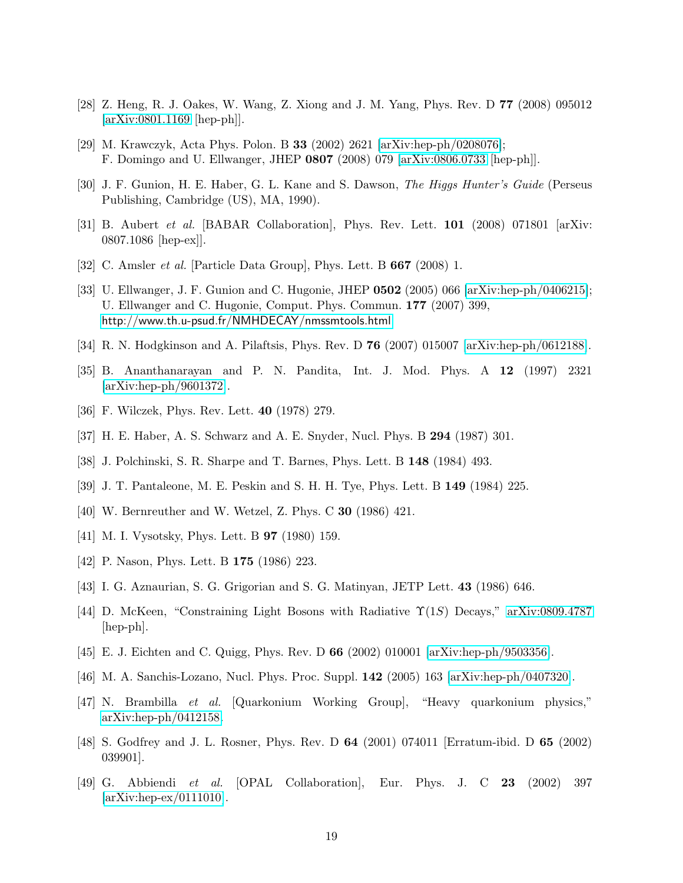- [28] Z. Heng, R. J. Oakes, W. Wang, Z. Xiong and J. M. Yang, Phys. Rev. D 77 (2008) 095012 [\[arXiv:0801.1169](http://arXiv.org/abs/0801.1169) [hep-ph]].
- [29] M. Krawczyk, Acta Phys. Polon. B 33 (2002) 2621 [\[arXiv:hep-ph/0208076\]](http://arXiv.org/abs/hep-ph/0208076); F. Domingo and U. Ellwanger, JHEP 0807 (2008) 079 [\[arXiv:0806.0733](http://arXiv.org/abs/0806.0733) [hep-ph]].
- [30] J. F. Gunion, H. E. Haber, G. L. Kane and S. Dawson, The Higgs Hunter's Guide (Perseus Publishing, Cambridge (US), MA, 1990).
- [31] B. Aubert *et al.* [BABAR Collaboration], Phys. Rev. Lett. **101** (2008) 071801 [arXiv: 0807.1086 [hep-ex]].
- [32] C. Amsler et al. [Particle Data Group], Phys. Lett. B 667 (2008) 1.
- [33] U. Ellwanger, J. F. Gunion and C. Hugonie, JHEP 0502 (2005) 066 [\[arXiv:hep-ph/0406215\]](http://arXiv.org/abs/hep-ph/0406215); U. Ellwanger and C. Hugonie, Comput. Phys. Commun. 177 (2007) 399, <http://www.th.u-psud.fr/NMHDECAY/nmssmtools.html>
- [34] R. N. Hodgkinson and A. Pilaftsis, Phys. Rev. D 76 (2007) 015007 [\[arXiv:hep-ph/0612188\]](http://arXiv.org/abs/hep-ph/0612188).
- [35] B. Ananthanarayan and P. N. Pandita, Int. J. Mod. Phys. A 12 (1997) 2321 [\[arXiv:hep-ph/9601372\]](http://arXiv.org/abs/hep-ph/9601372).
- [36] F. Wilczek, Phys. Rev. Lett. 40 (1978) 279.
- [37] H. E. Haber, A. S. Schwarz and A. E. Snyder, Nucl. Phys. B 294 (1987) 301.
- [38] J. Polchinski, S. R. Sharpe and T. Barnes, Phys. Lett. B 148 (1984) 493.
- [39] J. T. Pantaleone, M. E. Peskin and S. H. H. Tye, Phys. Lett. B 149 (1984) 225.
- [40] W. Bernreuther and W. Wetzel, Z. Phys. C 30 (1986) 421.
- [41] M. I. Vysotsky, Phys. Lett. B 97 (1980) 159.
- [42] P. Nason, Phys. Lett. B **175** (1986) 223.
- [43] I. G. Aznaurian, S. G. Grigorian and S. G. Matinyan, JETP Lett. 43 (1986) 646.
- [44] D. McKeen, "Constraining Light Bosons with Radiative  $\Upsilon(1S)$  Decays," [arXiv:0809.4787](http://arXiv.org/abs/0809.4787) [hep-ph].
- [45] E. J. Eichten and C. Quigg, Phys. Rev. D 66 (2002) 010001 [\[arXiv:hep-ph/9503356\]](http://arXiv.org/abs/hep-ph/9503356).
- [46] M. A. Sanchis-Lozano, Nucl. Phys. Proc. Suppl. 142 (2005) 163 [\[arXiv:hep-ph/0407320\]](http://arXiv.org/abs/hep-ph/0407320).
- [47] N. Brambilla et al. [Quarkonium Working Group], "Heavy quarkonium physics," [arXiv:hep-ph/0412158.](http://arXiv.org/abs/hep-ph/0412158)
- [48] S. Godfrey and J. L. Rosner, Phys. Rev. D 64 (2001) 074011 [Erratum-ibid. D 65 (2002) 039901].
- [49] G. Abbiendi et al. [OPAL Collaboration], Eur. Phys. J. C 23 (2002) 397 [\[arXiv:hep-ex/0111010\]](http://arXiv.org/abs/hep-ex/0111010).